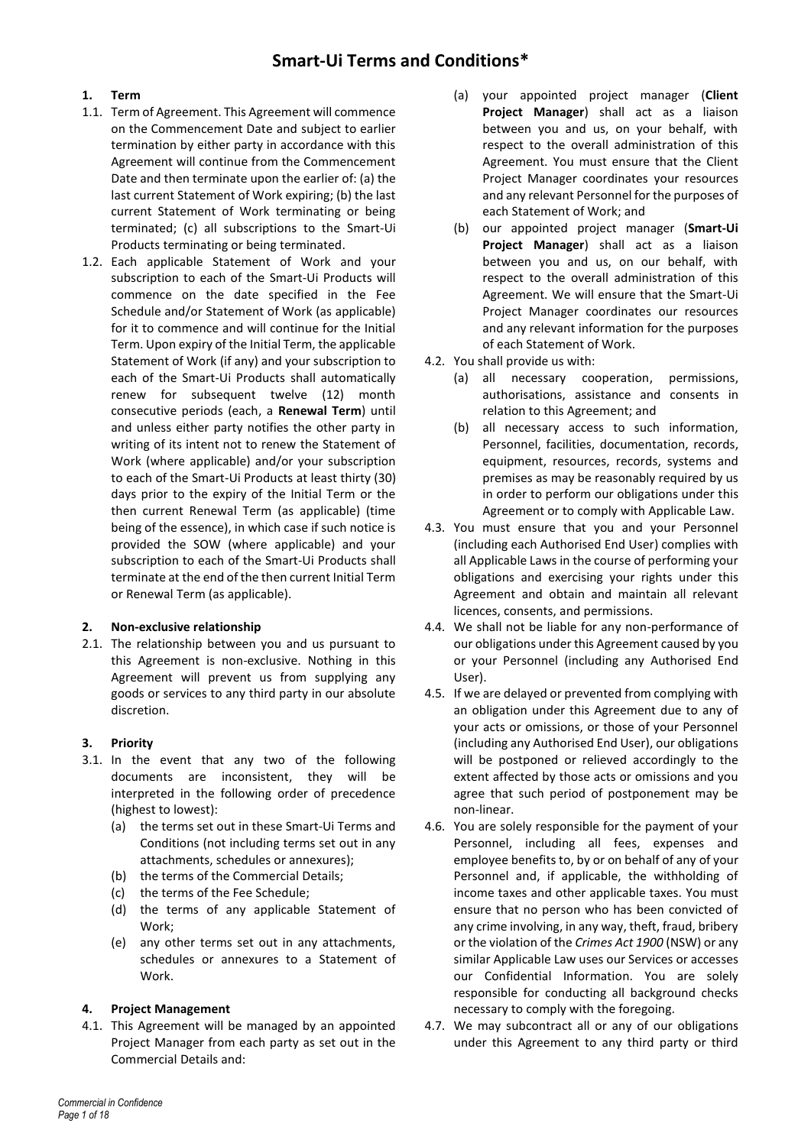# **1. Term**

- 1.1. Term of Agreement. This Agreement will commence on the Commencement Date and subject to earlier termination by either party in accordance with this Agreement will continue from the Commencement Date and then terminate upon the earlier of: (a) the last current Statement of Work expiring; (b) the last current Statement of Work terminating or being terminated; (c) all subscriptions to the Smart-Ui Products terminating or being terminated.
- 1.2. Each applicable Statement of Work and your subscription to each of the Smart-Ui Products will commence on the date specified in the Fee Schedule and/or Statement of Work (as applicable) for it to commence and will continue for the Initial Term. Upon expiry of the Initial Term, the applicable Statement of Work (if any) and your subscription to each of the Smart-Ui Products shall automatically renew for subsequent twelve (12) month consecutive periods (each, a **Renewal Term**) until and unless either party notifies the other party in writing of its intent not to renew the Statement of Work (where applicable) and/or your subscription to each of the Smart-Ui Products at least thirty (30) days prior to the expiry of the Initial Term or the then current Renewal Term (as applicable) (time being of the essence), in which case if such notice is provided the SOW (where applicable) and your subscription to each of the Smart-Ui Products shall terminate at the end of the then current Initial Term or Renewal Term (as applicable).

# **2. Non-exclusive relationship**

2.1. The relationship between you and us pursuant to this Agreement is non-exclusive. Nothing in this Agreement will prevent us from supplying any goods or services to any third party in our absolute discretion.

# **3. Priority**

- 3.1. In the event that any two of the following documents are inconsistent, they will be interpreted in the following order of precedence (highest to lowest):
	- (a) the terms set out in these Smart-Ui Terms and Conditions (not including terms set out in any attachments, schedules or annexures);
	- (b) the terms of the Commercial Details;
	- (c) the terms of the Fee Schedule;
	- (d) the terms of any applicable Statement of Work;
	- (e) any other terms set out in any attachments, schedules or annexures to a Statement of Work.

#### **4. Project Management**

4.1. This Agreement will be managed by an appointed Project Manager from each party as set out in the Commercial Details and:

- (a) your appointed project manager (**Client Project Manager**) shall act as a liaison between you and us, on your behalf, with respect to the overall administration of this Agreement. You must ensure that the Client Project Manager coordinates your resources and any relevant Personnel for the purposes of each Statement of Work; and
- (b) our appointed project manager (**Smart-Ui Project Manager**) shall act as a liaison between you and us, on our behalf, with respect to the overall administration of this Agreement. We will ensure that the Smart-Ui Project Manager coordinates our resources and any relevant information for the purposes of each Statement of Work.
- 4.2. You shall provide us with:
	- (a) all necessary cooperation, permissions, authorisations, assistance and consents in relation to this Agreement; and
	- (b) all necessary access to such information, Personnel, facilities, documentation, records, equipment, resources, records, systems and premises as may be reasonably required by us in order to perform our obligations under this Agreement or to comply with Applicable Law.
- 4.3. You must ensure that you and your Personnel (including each Authorised End User) complies with all Applicable Laws in the course of performing your obligations and exercising your rights under this Agreement and obtain and maintain all relevant licences, consents, and permissions.
- 4.4. We shall not be liable for any non-performance of our obligations under this Agreement caused by you or your Personnel (including any Authorised End User).
- 4.5. If we are delayed or prevented from complying with an obligation under this Agreement due to any of your acts or omissions, or those of your Personnel (including any Authorised End User), our obligations will be postponed or relieved accordingly to the extent affected by those acts or omissions and you agree that such period of postponement may be non-linear.
- 4.6. You are solely responsible for the payment of your Personnel, including all fees, expenses and employee benefits to, by or on behalf of any of your Personnel and, if applicable, the withholding of income taxes and other applicable taxes. You must ensure that no person who has been convicted of any crime involving, in any way, theft, fraud, bribery or the violation of the *Crimes Act 1900* (NSW) or any similar Applicable Law uses our Services or accesses our Confidential Information. You are solely responsible for conducting all background checks necessary to comply with the foregoing.
- 4.7. We may subcontract all or any of our obligations under this Agreement to any third party or third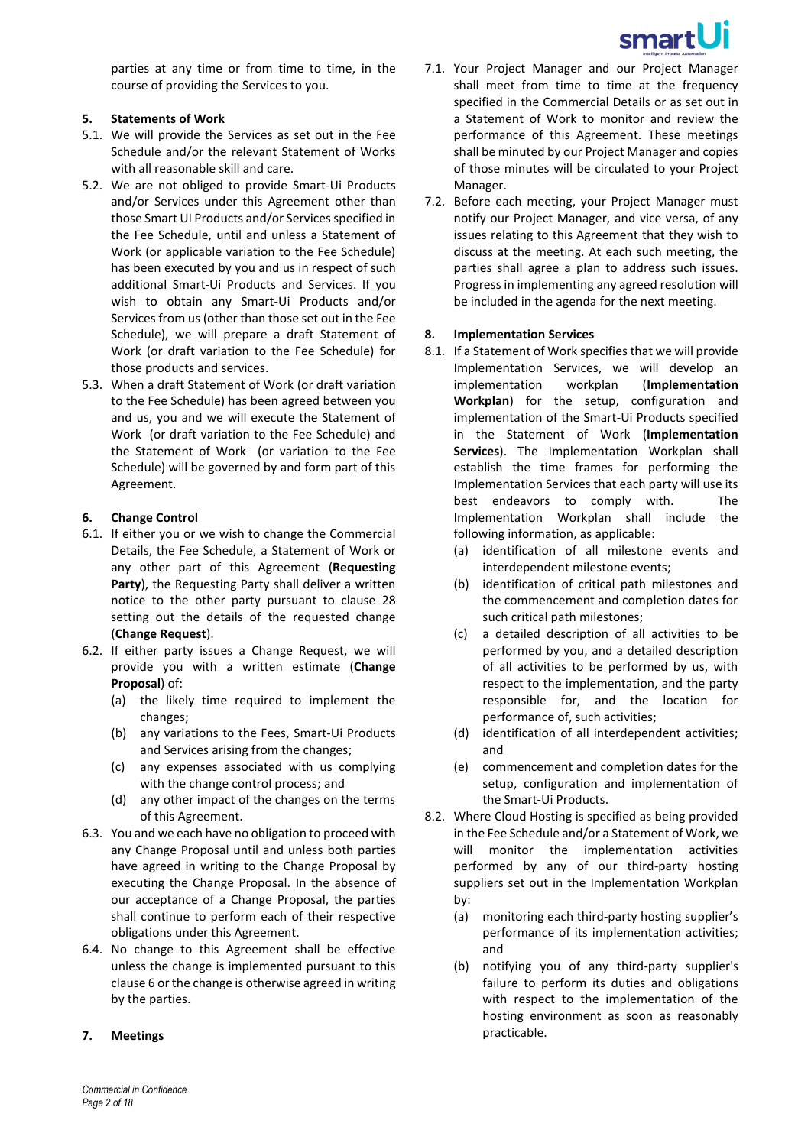

parties at any time or from time to time, in the course of providing the Services to you.

#### **5. Statements of Work**

- 5.1. We will provide the Services as set out in the Fee Schedule and/or the relevant Statement of Works with all reasonable skill and care.
- 5.2. We are not obliged to provide Smart-Ui Products and/or Services under this Agreement other than those Smart UI Products and/or Services specified in the Fee Schedule, until and unless a Statement of Work (or applicable variation to the Fee Schedule) has been executed by you and us in respect of such additional Smart-Ui Products and Services. If you wish to obtain any Smart-Ui Products and/or Services from us (other than those set out in the Fee Schedule), we will prepare a draft Statement of Work (or draft variation to the Fee Schedule) for those products and services.
- 5.3. When a draft Statement of Work (or draft variation to the Fee Schedule) has been agreed between you and us, you and we will execute the Statement of Work (or draft variation to the Fee Schedule) and the Statement of Work (or variation to the Fee Schedule) will be governed by and form part of this Agreement.

# <span id="page-1-0"></span>**6. Change Control**

- 6.1. If either you or we wish to change the Commercial Details, the Fee Schedule, a Statement of Work or any other part of this Agreement (**Requesting Party**), the Requesting Party shall deliver a written notice to the other party pursuant to clause [28](#page-12-0) setting out the details of the requested change (**Change Request**).
- 6.2. If either party issues a Change Request, we will provide you with a written estimate (**Change Proposal**) of:
	- (a) the likely time required to implement the changes;
	- (b) any variations to the Fees, Smart-Ui Products and Services arising from the changes;
	- (c) any expenses associated with us complying with the change control process; and
	- (d) any other impact of the changes on the terms of this Agreement.
- 6.3. You and we each have no obligation to proceed with any Change Proposal until and unless both parties have agreed in writing to the Change Proposal by executing the Change Proposal. In the absence of our acceptance of a Change Proposal, the parties shall continue to perform each of their respective obligations under this Agreement.
- 6.4. No change to this Agreement shall be effective unless the change is implemented pursuant to this claus[e 6](#page-1-0) or the change is otherwise agreed in writing by the parties.

#### **7. Meetings**

- 7.1. Your Project Manager and our Project Manager shall meet from time to time at the frequency specified in the Commercial Details or as set out in a Statement of Work to monitor and review the performance of this Agreement. These meetings shall be minuted by our Project Manager and copies of those minutes will be circulated to your Project Manager.
- 7.2. Before each meeting, your Project Manager must notify our Project Manager, and vice versa, of any issues relating to this Agreement that they wish to discuss at the meeting. At each such meeting, the parties shall agree a plan to address such issues. Progress in implementing any agreed resolution will be included in the agenda for the next meeting.

#### **8. Implementation Services**

- 8.1. If a Statement of Work specifies that we will provide Implementation Services, we will develop an implementation workplan (**Implementation Workplan**) for the setup, configuration and implementation of the Smart-Ui Products specified in the Statement of Work (**Implementation Services**). The Implementation Workplan shall establish the time frames for performing the Implementation Services that each party will use its best endeavors to comply with. The Implementation Workplan shall include the following information, as applicable:
	- (a) identification of all milestone events and interdependent milestone events;
	- (b) identification of critical path milestones and the commencement and completion dates for such critical path milestones;
	- (c) a detailed description of all activities to be performed by you, and a detailed description of all activities to be performed by us, with respect to the implementation, and the party responsible for, and the location for performance of, such activities;
	- (d) identification of all interdependent activities; and
	- (e) commencement and completion dates for the setup, configuration and implementation of the Smart-Ui Products.
- 8.2. Where Cloud Hosting is specified as being provided in the Fee Schedule and/or a Statement of Work, we will monitor the implementation activities performed by any of our third-party hosting suppliers set out in the Implementation Workplan by:
	- (a) monitoring each third-party hosting supplier's performance of its implementation activities; and
	- (b) notifying you of any third-party supplier's failure to perform its duties and obligations with respect to the implementation of the hosting environment as soon as reasonably practicable.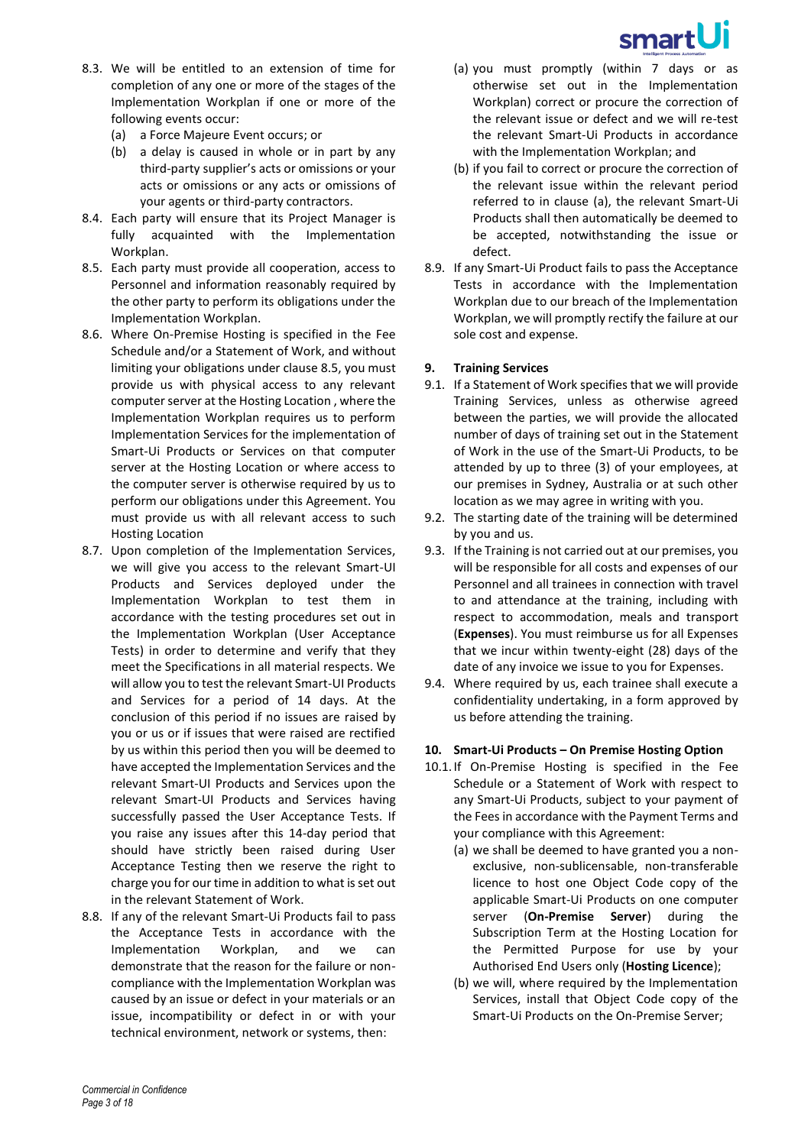

- 8.3. We will be entitled to an extension of time for completion of any one or more of the stages of the Implementation Workplan if one or more of the following events occur:
	- (a) a Force Majeure Event occurs; or
	- (b) a delay is caused in whole or in part by any third-party supplier's acts or omissions or your acts or omissions or any acts or omissions of your agents or third-party contractors.
- 8.4. Each party will ensure that its Project Manager is fully acquainted with the Implementation Workplan.
- <span id="page-2-0"></span>8.5. Each party must provide all cooperation, access to Personnel and information reasonably required by the other party to perform its obligations under the Implementation Workplan.
- 8.6. Where On-Premise Hosting is specified in the Fee Schedule and/or a Statement of Work, and without limiting your obligations under claus[e 8.5,](#page-2-0) you must provide us with physical access to any relevant computer server at the Hosting Location , where the Implementation Workplan requires us to perform Implementation Services for the implementation of Smart-Ui Products or Services on that computer server at the Hosting Location or where access to the computer server is otherwise required by us to perform our obligations under this Agreement. You must provide us with all relevant access to such Hosting Location
- 8.7. Upon completion of the Implementation Services, we will give you access to the relevant Smart-UI Products and Services deployed under the Implementation Workplan to test them in accordance with the testing procedures set out in the Implementation Workplan (User Acceptance Tests) in order to determine and verify that they meet the Specifications in all material respects. We will allow you to test the relevant Smart-UI Products and Services for a period of 14 days. At the conclusion of this period if no issues are raised by you or us or if issues that were raised are rectified by us within this period then you will be deemed to have accepted the Implementation Services and the relevant Smart-UI Products and Services upon the relevant Smart-UI Products and Services having successfully passed the User Acceptance Tests. If you raise any issues after this 14-day period that should have strictly been raised during User Acceptance Testing then we reserve the right to charge you for our time in addition to what is set out in the relevant Statement of Work.
- 8.8. If any of the relevant Smart-Ui Products fail to pass the Acceptance Tests in accordance with the Implementation Workplan, and we can demonstrate that the reason for the failure or noncompliance with the Implementation Workplan was caused by an issue or defect in your materials or an issue, incompatibility or defect in or with your technical environment, network or systems, then:
- <span id="page-2-1"></span>(a) you must promptly (within 7 days or as otherwise set out in the Implementation Workplan) correct or procure the correction of the relevant issue or defect and we will re-test the relevant Smart-Ui Products in accordance with the Implementation Workplan; and
- (b) if you fail to correct or procure the correction of the relevant issue within the relevant period referred to in clause [\(a\),](#page-2-1) the relevant Smart-Ui Products shall then automatically be deemed to be accepted, notwithstanding the issue or defect.
- 8.9. If any Smart-Ui Product fails to pass the Acceptance Tests in accordance with the Implementation Workplan due to our breach of the Implementation Workplan, we will promptly rectify the failure at our sole cost and expense.

# **9. Training Services**

- 9.1. If a Statement of Work specifies that we will provide Training Services, unless as otherwise agreed between the parties, we will provide the allocated number of days of training set out in the Statement of Work in the use of the Smart-Ui Products, to be attended by up to three (3) of your employees, at our premises in Sydney, Australia or at such other location as we may agree in writing with you.
- 9.2. The starting date of the training will be determined by you and us.
- 9.3. If the Training is not carried out at our premises, you will be responsible for all costs and expenses of our Personnel and all trainees in connection with travel to and attendance at the training, including with respect to accommodation, meals and transport (**Expenses**). You must reimburse us for all Expenses that we incur within twenty-eight (28) days of the date of any invoice we issue to you for Expenses.
- 9.4. Where required by us, each trainee shall execute a confidentiality undertaking, in a form approved by us before attending the training.

# **10. Smart-Ui Products – On Premise Hosting Option**

- 10.1.If On-Premise Hosting is specified in the Fee Schedule or a Statement of Work with respect to any Smart-Ui Products, subject to your payment of the Fees in accordance with the Payment Terms and your compliance with this Agreement:
	- (a) we shall be deemed to have granted you a nonexclusive, non-sublicensable, non-transferable licence to host one Object Code copy of the applicable Smart-Ui Products on one computer server (**On-Premise Server**) during the Subscription Term at the Hosting Location for the Permitted Purpose for use by your Authorised End Users only (**Hosting Licence**);
	- (b) we will, where required by the Implementation Services, install that Object Code copy of the Smart-Ui Products on the On-Premise Server;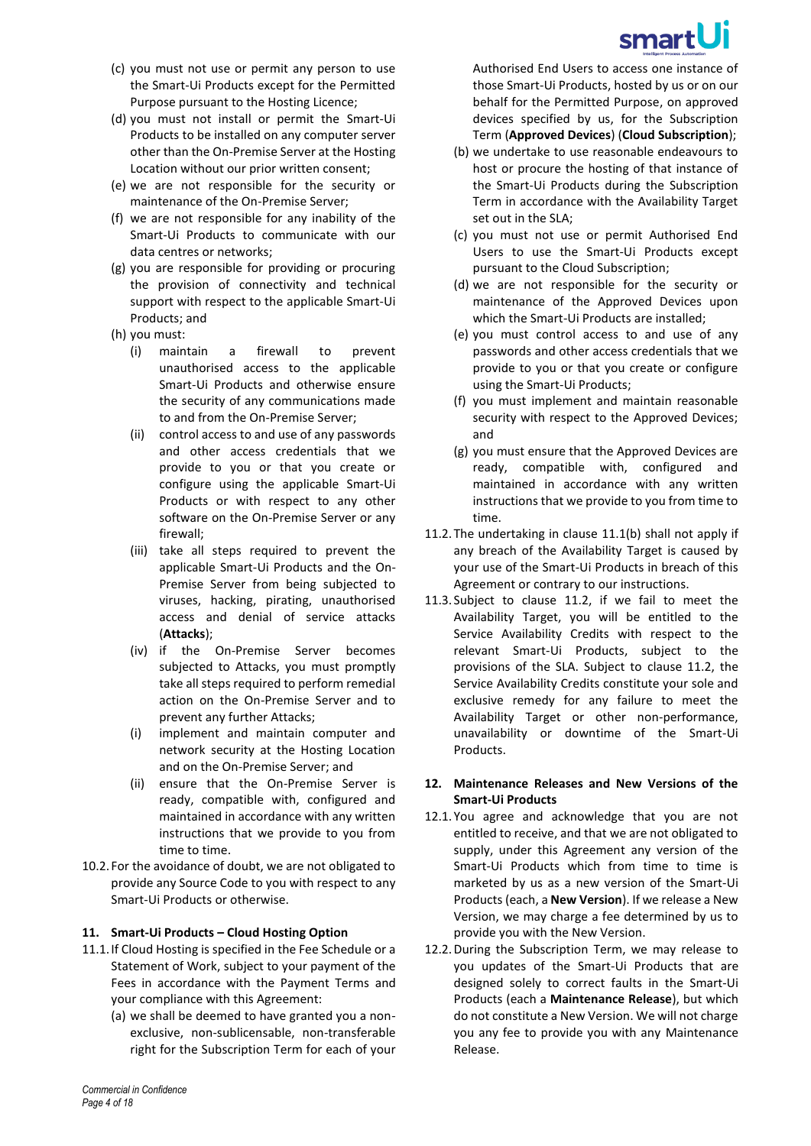

- (c) you must not use or permit any person to use the Smart-Ui Products except for the Permitted Purpose pursuant to the Hosting Licence;
- (d) you must not install or permit the Smart-Ui Products to be installed on any computer server other than the On-Premise Server at the Hosting Location without our prior written consent;
- (e) we are not responsible for the security or maintenance of the On-Premise Server;
- (f) we are not responsible for any inability of the Smart-Ui Products to communicate with our data centres or networks;
- (g) you are responsible for providing or procuring the provision of connectivity and technical support with respect to the applicable Smart-Ui Products; and
- (h) you must:
	- (i) maintain a firewall to prevent unauthorised access to the applicable Smart-Ui Products and otherwise ensure the security of any communications made to and from the On-Premise Server;
	- (ii) control access to and use of any passwords and other access credentials that we provide to you or that you create or configure using the applicable Smart-Ui Products or with respect to any other software on the On-Premise Server or any firewall;
	- (iii) take all steps required to prevent the applicable Smart-Ui Products and the On-Premise Server from being subjected to viruses, hacking, pirating, unauthorised access and denial of service attacks (**Attacks**);
	- (iv) if the On-Premise Server becomes subjected to Attacks, you must promptly take all steps required to perform remedial action on the On-Premise Server and to prevent any further Attacks;
	- (i) implement and maintain computer and network security at the Hosting Location and on the On-Premise Server; and
	- (ii) ensure that the On-Premise Server is ready, compatible with, configured and maintained in accordance with any written instructions that we provide to you from time to time.
- 10.2. For the avoidance of doubt, we are not obligated to provide any Source Code to you with respect to any Smart-Ui Products or otherwise.

# **11. Smart-Ui Products – Cloud Hosting Option**

- <span id="page-3-0"></span>11.1.If Cloud Hosting is specified in the Fee Schedule or a Statement of Work, subject to your payment of the Fees in accordance with the Payment Terms and your compliance with this Agreement:
	- (a) we shall be deemed to have granted you a nonexclusive, non-sublicensable, non-transferable right for the Subscription Term for each of your

Authorised End Users to access one instance of those Smart-Ui Products, hosted by us or on our behalf for the Permitted Purpose, on approved devices specified by us, for the Subscription Term (**Approved Devices**) (**Cloud Subscription**);

- <span id="page-3-1"></span>(b) we undertake to use reasonable endeavours to host or procure the hosting of that instance of the Smart-Ui Products during the Subscription Term in accordance with the Availability Target set out in the SLA;
- (c) you must not use or permit Authorised End Users to use the Smart-Ui Products except pursuant to the Cloud Subscription;
- (d) we are not responsible for the security or maintenance of the Approved Devices upon which the Smart-Ui Products are installed;
- (e) you must control access to and use of any passwords and other access credentials that we provide to you or that you create or configure using the Smart-Ui Products;
- (f) you must implement and maintain reasonable security with respect to the Approved Devices; and
- (g) you must ensure that the Approved Devices are ready, compatible with, configured and maintained in accordance with any written instructions that we provide to you from time to time.
- <span id="page-3-2"></span>11.2.The undertaking in clause [11.1](#page-3-0)[\(b\)](#page-3-1) shall not apply if any breach of the Availability Target is caused by your use of the Smart-Ui Products in breach of this Agreement or contrary to our instructions.
- 11.3. Subject to clause [11.2,](#page-3-2) if we fail to meet the Availability Target, you will be entitled to the Service Availability Credits with respect to the relevant Smart-Ui Products, subject to the provisions of the SLA. Subject to clause [11.2,](#page-3-2) the Service Availability Credits constitute your sole and exclusive remedy for any failure to meet the Availability Target or other non-performance, unavailability or downtime of the Smart-Ui Products.

#### **12. Maintenance Releases and New Versions of the Smart-Ui Products**

- 12.1.You agree and acknowledge that you are not entitled to receive, and that we are not obligated to supply, under this Agreement any version of the Smart-Ui Products which from time to time is marketed by us as a new version of the Smart-Ui Products (each, a **New Version**). If we release a New Version, we may charge a fee determined by us to provide you with the New Version.
- 12.2.During the Subscription Term, we may release to you updates of the Smart-Ui Products that are designed solely to correct faults in the Smart-Ui Products (each a **Maintenance Release**), but which do not constitute a New Version. We will not charge you any fee to provide you with any Maintenance Release.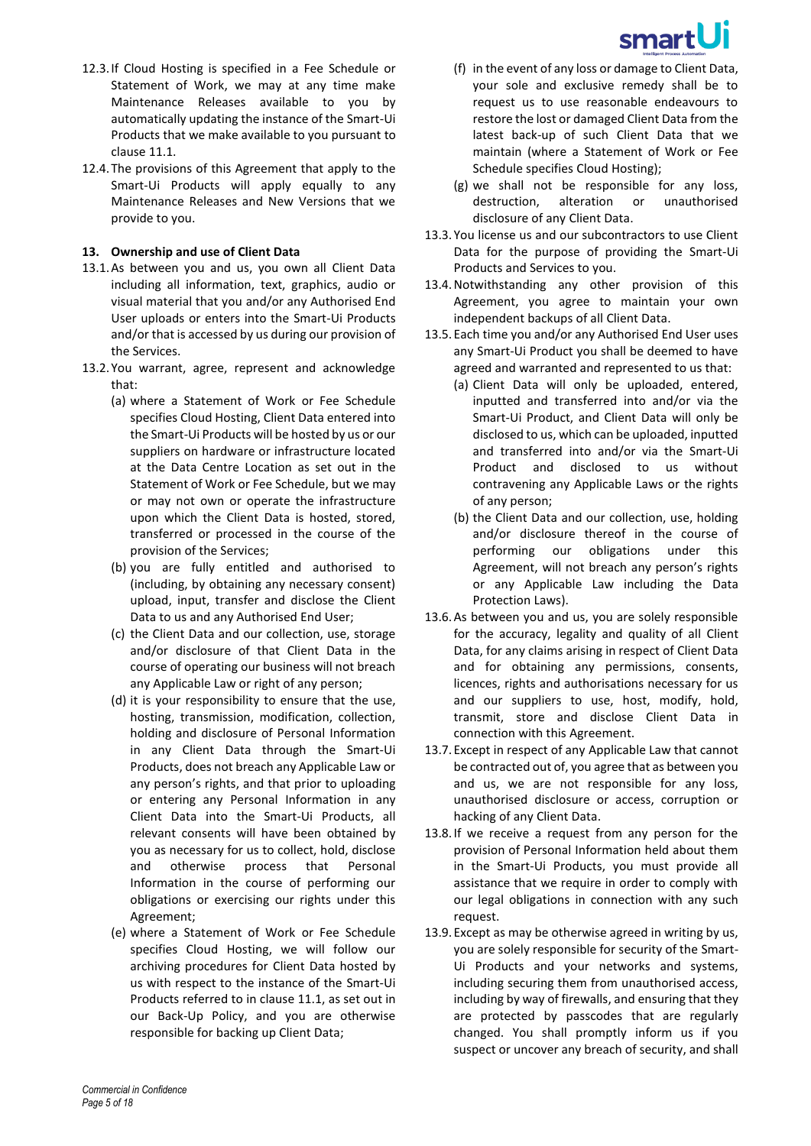

- 12.3.If Cloud Hosting is specified in a Fee Schedule or Statement of Work, we may at any time make Maintenance Releases available to you by automatically updating the instance of the Smart-Ui Products that we make available to you pursuant to claus[e 11.1.](#page-3-0)
- 12.4. The provisions of this Agreement that apply to the Smart-Ui Products will apply equally to any Maintenance Releases and New Versions that we provide to you.

#### **13. Ownership and use of Client Data**

- 13.1.As between you and us, you own all Client Data including all information, text, graphics, audio or visual material that you and/or any Authorised End User uploads or enters into the Smart-Ui Products and/or that is accessed by us during our provision of the Services.
- 13.2. You warrant, agree, represent and acknowledge that:
	- (a) where a Statement of Work or Fee Schedule specifies Cloud Hosting, Client Data entered into the Smart-Ui Products will be hosted by us or our suppliers on hardware or infrastructure located at the Data Centre Location as set out in the Statement of Work or Fee Schedule, but we may or may not own or operate the infrastructure upon which the Client Data is hosted, stored, transferred or processed in the course of the provision of the Services;
	- (b) you are fully entitled and authorised to (including, by obtaining any necessary consent) upload, input, transfer and disclose the Client Data to us and any Authorised End User;
	- (c) the Client Data and our collection, use, storage and/or disclosure of that Client Data in the course of operating our business will not breach any Applicable Law or right of any person;
	- (d) it is your responsibility to ensure that the use, hosting, transmission, modification, collection, holding and disclosure of Personal Information in any Client Data through the Smart-Ui Products, does not breach any Applicable Law or any person's rights, and that prior to uploading or entering any Personal Information in any Client Data into the Smart-Ui Products, all relevant consents will have been obtained by you as necessary for us to collect, hold, disclose and otherwise process that Personal Information in the course of performing our obligations or exercising our rights under this Agreement;
	- (e) where a Statement of Work or Fee Schedule specifies Cloud Hosting, we will follow our archiving procedures for Client Data hosted by us with respect to the instance of the Smart-Ui Products referred to in claus[e 11.1,](#page-3-0) as set out in our Back-Up Policy, and you are otherwise responsible for backing up Client Data;
- (f) in the event of any loss or damage to Client Data, your sole and exclusive remedy shall be to request us to use reasonable endeavours to restore the lost or damaged Client Data from the latest back-up of such Client Data that we maintain (where a Statement of Work or Fee Schedule specifies Cloud Hosting);
- (g) we shall not be responsible for any loss, destruction, alteration or unauthorised disclosure of any Client Data.
- 13.3.You license us and our subcontractors to use Client Data for the purpose of providing the Smart-Ui Products and Services to you.
- 13.4.Notwithstanding any other provision of this Agreement, you agree to maintain your own independent backups of all Client Data.
- 13.5.Each time you and/or any Authorised End User uses any Smart-Ui Product you shall be deemed to have agreed and warranted and represented to us that:
	- (a) Client Data will only be uploaded, entered, inputted and transferred into and/or via the Smart-Ui Product, and Client Data will only be disclosed to us, which can be uploaded, inputted and transferred into and/or via the Smart-Ui Product and disclosed to us without contravening any Applicable Laws or the rights of any person;
	- (b) the Client Data and our collection, use, holding and/or disclosure thereof in the course of performing our obligations under this Agreement, will not breach any person's rights or any Applicable Law including the Data Protection Laws).
- 13.6.As between you and us, you are solely responsible for the accuracy, legality and quality of all Client Data, for any claims arising in respect of Client Data and for obtaining any permissions, consents, licences, rights and authorisations necessary for us and our suppliers to use, host, modify, hold, transmit, store and disclose Client Data in connection with this Agreement.
- 13.7.Except in respect of any Applicable Law that cannot be contracted out of, you agree that as between you and us, we are not responsible for any loss, unauthorised disclosure or access, corruption or hacking of any Client Data.
- 13.8.If we receive a request from any person for the provision of Personal Information held about them in the Smart-Ui Products, you must provide all assistance that we require in order to comply with our legal obligations in connection with any such request.
- 13.9.Except as may be otherwise agreed in writing by us, you are solely responsible for security of the Smart-Ui Products and your networks and systems, including securing them from unauthorised access, including by way of firewalls, and ensuring that they are protected by passcodes that are regularly changed. You shall promptly inform us if you suspect or uncover any breach of security, and shall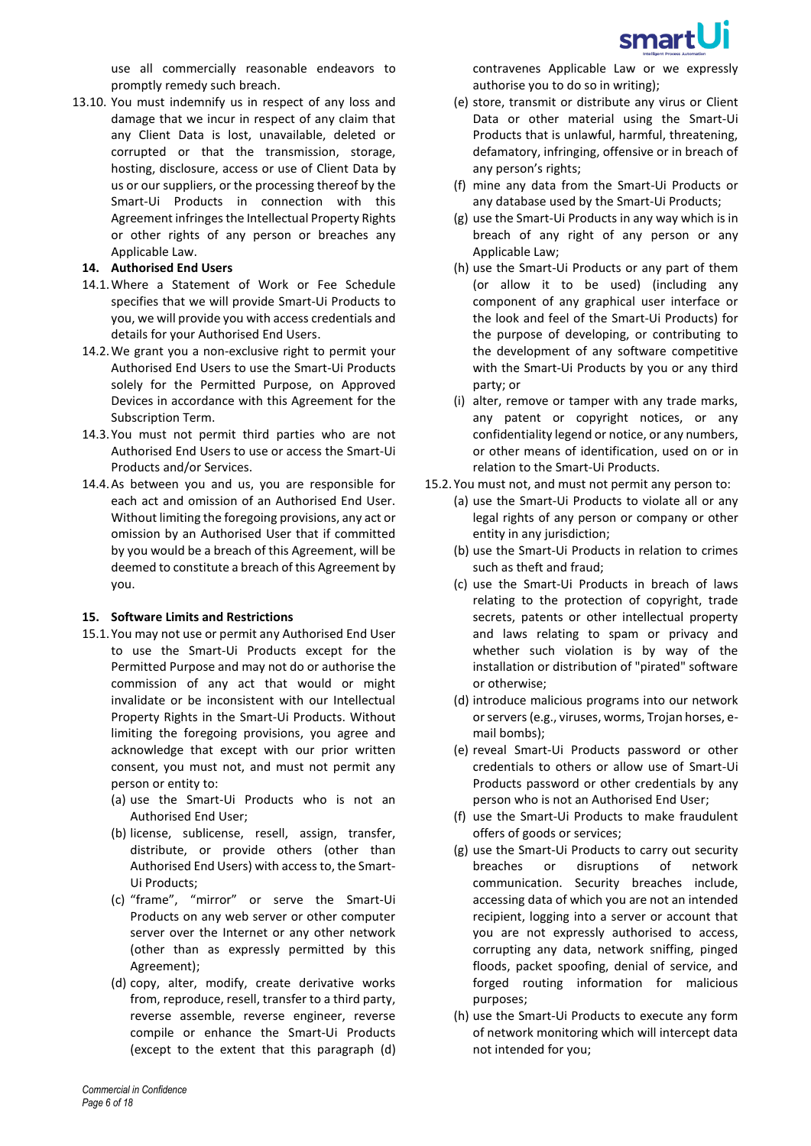

use all commercially reasonable endeavors to promptly remedy such breach.

13.10. You must indemnify us in respect of any loss and damage that we incur in respect of any claim that any Client Data is lost, unavailable, deleted or corrupted or that the transmission, storage, hosting, disclosure, access or use of Client Data by us or our suppliers, or the processing thereof by the Smart-Ui Products in connection with this Agreement infringes the Intellectual Property Rights or other rights of any person or breaches any Applicable Law.

#### **14. Authorised End Users**

- 14.1.Where a Statement of Work or Fee Schedule specifies that we will provide Smart-Ui Products to you, we will provide you with access credentials and details for your Authorised End Users.
- 14.2.We grant you a non-exclusive right to permit your Authorised End Users to use the Smart-Ui Products solely for the Permitted Purpose, on Approved Devices in accordance with this Agreement for the Subscription Term.
- 14.3. You must not permit third parties who are not Authorised End Users to use or access the Smart-Ui Products and/or Services.
- 14.4.As between you and us, you are responsible for each act and omission of an Authorised End User. Without limiting the foregoing provisions, any act or omission by an Authorised User that if committed by you would be a breach of this Agreement, will be deemed to constitute a breach of this Agreement by you.

#### <span id="page-5-1"></span>**15. Software Limits and Restrictions**

- <span id="page-5-0"></span>15.1. You may not use or permit any Authorised End User to use the Smart-Ui Products except for the Permitted Purpose and may not do or authorise the commission of any act that would or might invalidate or be inconsistent with our Intellectual Property Rights in the Smart-Ui Products. Without limiting the foregoing provisions, you agree and acknowledge that except with our prior written consent, you must not, and must not permit any person or entity to:
	- (a) use the Smart-Ui Products who is not an Authorised End User;
	- (b) license, sublicense, resell, assign, transfer, distribute, or provide others (other than Authorised End Users) with access to, the Smart-Ui Products;
	- (c) "frame", "mirror" or serve the Smart-Ui Products on any web server or other computer server over the Internet or any other network (other than as expressly permitted by this Agreement);
	- (d) copy, alter, modify, create derivative works from, reproduce, resell, transfer to a third party, reverse assemble, reverse engineer, reverse compile or enhance the Smart-Ui Products (except to the extent that this paragraph [\(d\)](#page-5-0)
- (e) store, transmit or distribute any virus or Client Data or other material using the Smart-Ui Products that is unlawful, harmful, threatening, defamatory, infringing, offensive or in breach of any person's rights;
- (f) mine any data from the Smart-Ui Products or any database used by the Smart-Ui Products;
- (g) use the Smart-Ui Products in any way which is in breach of any right of any person or any Applicable Law;
- (h) use the Smart-Ui Products or any part of them (or allow it to be used) (including any component of any graphical user interface or the look and feel of the Smart-Ui Products) for the purpose of developing, or contributing to the development of any software competitive with the Smart-Ui Products by you or any third party; or
- (i) alter, remove or tamper with any trade marks, any patent or copyright notices, or any confidentiality legend or notice, or any numbers, or other means of identification, used on or in relation to the Smart-Ui Products.
- 15.2.You must not, and must not permit any person to:
	- (a) use the Smart-Ui Products to violate all or any legal rights of any person or company or other entity in any jurisdiction;
	- (b) use the Smart-Ui Products in relation to crimes such as theft and fraud;
	- (c) use the Smart-Ui Products in breach of laws relating to the protection of copyright, trade secrets, patents or other intellectual property and laws relating to spam or privacy and whether such violation is by way of the installation or distribution of "pirated" software or otherwise;
	- (d) introduce malicious programs into our network or servers (e.g., viruses, worms, Trojan horses, email bombs);
	- (e) reveal Smart-Ui Products password or other credentials to others or allow use of Smart-Ui Products password or other credentials by any person who is not an Authorised End User;
	- (f) use the Smart-Ui Products to make fraudulent offers of goods or services;
	- (g) use the Smart-Ui Products to carry out security breaches or disruptions of network communication. Security breaches include, accessing data of which you are not an intended recipient, logging into a server or account that you are not expressly authorised to access, corrupting any data, network sniffing, pinged floods, packet spoofing, denial of service, and forged routing information for malicious purposes;
	- (h) use the Smart-Ui Products to execute any form of network monitoring which will intercept data not intended for you;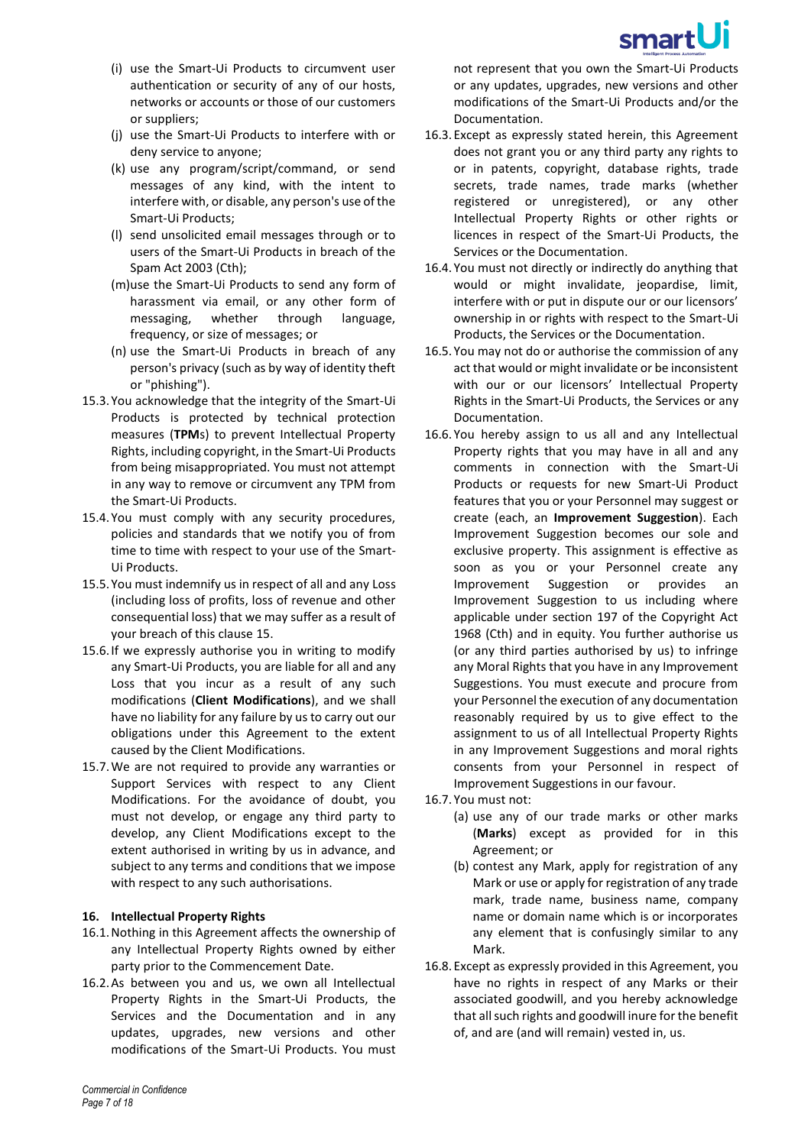

- (i) use the Smart-Ui Products to circumvent user authentication or security of any of our hosts, networks or accounts or those of our customers or suppliers;
- (j) use the Smart-Ui Products to interfere with or deny service to anyone;
- (k) use any program/script/command, or send messages of any kind, with the intent to interfere with, or disable, any person's use of the Smart-Ui Products;
- (l) send unsolicited email messages through or to users of the Smart-Ui Products in breach of the Spam Act 2003 (Cth);
- (m)use the Smart-Ui Products to send any form of harassment via email, or any other form of messaging, whether through language, frequency, or size of messages; or
- (n) use the Smart-Ui Products in breach of any person's privacy (such as by way of identity theft or "phishing").
- 15.3. You acknowledge that the integrity of the Smart-Ui Products is protected by technical protection measures (**TPM**s) to prevent Intellectual Property Rights, including copyright, in the Smart-Ui Products from being misappropriated. You must not attempt in any way to remove or circumvent any TPM from the Smart-Ui Products.
- 15.4. You must comply with any security procedures, policies and standards that we notify you of from time to time with respect to your use of the Smart-Ui Products.
- <span id="page-6-0"></span>15.5. You must indemnify us in respect of all and any Loss (including loss of profits, loss of revenue and other consequential loss) that we may suffer as a result of your breach of this clause [15.](#page-5-1)
- 15.6.If we expressly authorise you in writing to modify any Smart-Ui Products, you are liable for all and any Loss that you incur as a result of any such modifications (**Client Modifications**), and we shall have no liability for any failure by us to carry out our obligations under this Agreement to the extent caused by the Client Modifications.
- 15.7.We are not required to provide any warranties or Support Services with respect to any Client Modifications. For the avoidance of doubt, you must not develop, or engage any third party to develop, any Client Modifications except to the extent authorised in writing by us in advance, and subject to any terms and conditions that we impose with respect to any such authorisations.

#### **16. Intellectual Property Rights**

- 16.1.Nothing in this Agreement affects the ownership of any Intellectual Property Rights owned by either party prior to the Commencement Date.
- 16.2.As between you and us, we own all Intellectual Property Rights in the Smart-Ui Products, the Services and the Documentation and in any updates, upgrades, new versions and other modifications of the Smart-Ui Products. You must

not represent that you own the Smart-Ui Products or any updates, upgrades, new versions and other modifications of the Smart-Ui Products and/or the Documentation.

- 16.3.Except as expressly stated herein, this Agreement does not grant you or any third party any rights to or in patents, copyright, database rights, trade secrets, trade names, trade marks (whether registered or unregistered), or any other Intellectual Property Rights or other rights or licences in respect of the Smart-Ui Products, the Services or the Documentation.
- 16.4.You must not directly or indirectly do anything that would or might invalidate, jeopardise, limit, interfere with or put in dispute our or our licensors' ownership in or rights with respect to the Smart-Ui Products, the Services or the Documentation.
- 16.5.You may not do or authorise the commission of any act that would or might invalidate or be inconsistent with our or our licensors' Intellectual Property Rights in the Smart-Ui Products, the Services or any Documentation.
- 16.6.You hereby assign to us all and any Intellectual Property rights that you may have in all and any comments in connection with the Smart-Ui Products or requests for new Smart-Ui Product features that you or your Personnel may suggest or create (each, an **Improvement Suggestion**). Each Improvement Suggestion becomes our sole and exclusive property. This assignment is effective as soon as you or your Personnel create any Improvement Suggestion or provides an Improvement Suggestion to us including where applicable under section 197 of the Copyright Act 1968 (Cth) and in equity. You further authorise us (or any third parties authorised by us) to infringe any Moral Rights that you have in any Improvement Suggestions. You must execute and procure from your Personnel the execution of any documentation reasonably required by us to give effect to the assignment to us of all Intellectual Property Rights in any Improvement Suggestions and moral rights consents from your Personnel in respect of Improvement Suggestions in our favour.
- 16.7.You must not:
	- (a) use any of our trade marks or other marks (**Marks**) except as provided for in this Agreement; or
	- (b) contest any Mark, apply for registration of any Mark or use or apply for registration of any trade mark, trade name, business name, company name or domain name which is or incorporates any element that is confusingly similar to any Mark.
- 16.8.Except as expressly provided in this Agreement, you have no rights in respect of any Marks or their associated goodwill, and you hereby acknowledge that all such rights and goodwill inure for the benefit of, and are (and will remain) vested in, us.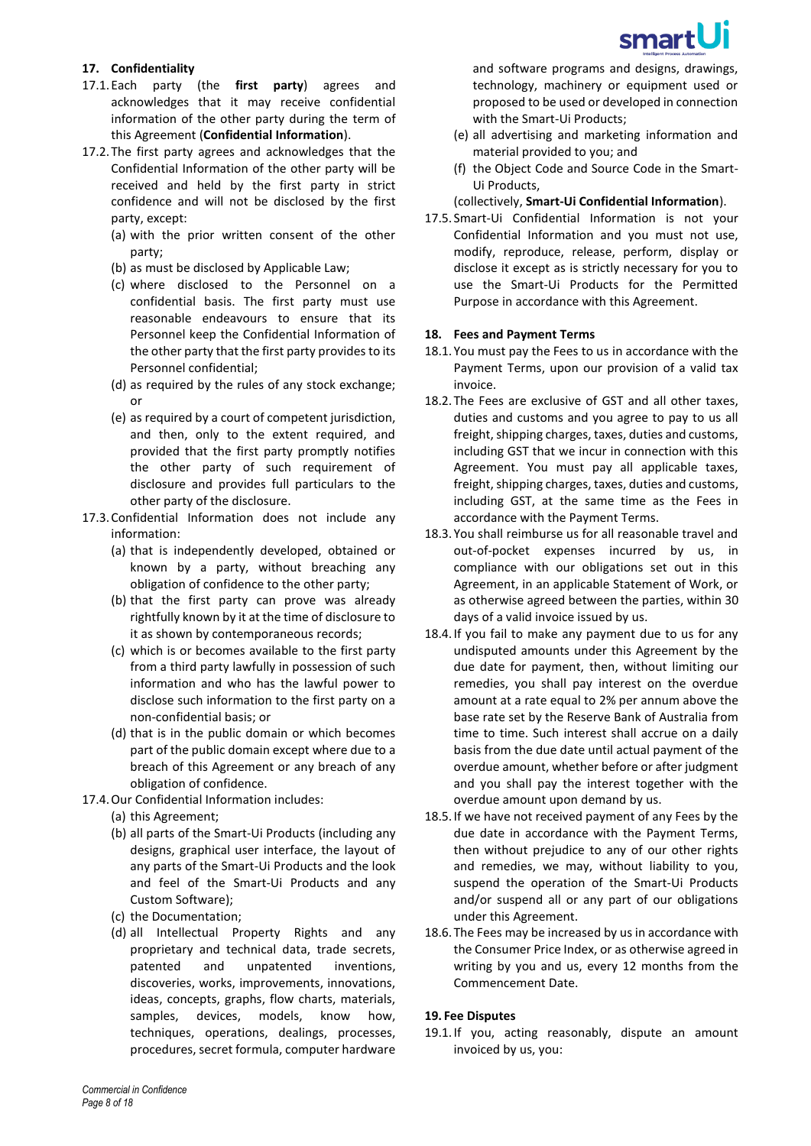# smartUi

### **17. Confidentiality**

- 17.1.Each party (the **first party**) agrees and acknowledges that it may receive confidential information of the other party during the term of this Agreement (**Confidential Information**).
- 17.2. The first party agrees and acknowledges that the Confidential Information of the other party will be received and held by the first party in strict confidence and will not be disclosed by the first party, except:
	- (a) with the prior written consent of the other party;
	- (b) as must be disclosed by Applicable Law;
	- (c) where disclosed to the Personnel on a confidential basis. The first party must use reasonable endeavours to ensure that its Personnel keep the Confidential Information of the other party that the first party provides to its Personnel confidential;
	- (d) as required by the rules of any stock exchange; or
	- (e) as required by a court of competent jurisdiction, and then, only to the extent required, and provided that the first party promptly notifies the other party of such requirement of disclosure and provides full particulars to the other party of the disclosure.
- 17.3.Confidential Information does not include any information:
	- (a) that is independently developed, obtained or known by a party, without breaching any obligation of confidence to the other party;
	- (b) that the first party can prove was already rightfully known by it at the time of disclosure to it as shown by contemporaneous records;
	- (c) which is or becomes available to the first party from a third party lawfully in possession of such information and who has the lawful power to disclose such information to the first party on a non-confidential basis; or
	- (d) that is in the public domain or which becomes part of the public domain except where due to a breach of this Agreement or any breach of any obligation of confidence.
- 17.4.Our Confidential Information includes:
	- (a) this Agreement;
	- (b) all parts of the Smart-Ui Products (including any designs, graphical user interface, the layout of any parts of the Smart-Ui Products and the look and feel of the Smart-Ui Products and any Custom Software);
	- (c) the Documentation;
	- (d) all Intellectual Property Rights and any proprietary and technical data, trade secrets, patented and unpatented inventions, discoveries, works, improvements, innovations, ideas, concepts, graphs, flow charts, materials, samples, devices, models, know how, techniques, operations, dealings, processes, procedures, secret formula, computer hardware

and software programs and designs, drawings, technology, machinery or equipment used or proposed to be used or developed in connection with the Smart-Ui Products;

- (e) all advertising and marketing information and material provided to you; and
- (f) the Object Code and Source Code in the Smart-Ui Products,

### (collectively, **Smart-Ui Confidential Information**).

17.5. Smart-Ui Confidential Information is not your Confidential Information and you must not use, modify, reproduce, release, perform, display or disclose it except as is strictly necessary for you to use the Smart-Ui Products for the Permitted Purpose in accordance with this Agreement.

### **18. Fees and Payment Terms**

- 18.1.You must pay the Fees to us in accordance with the Payment Terms, upon our provision of a valid tax invoice.
- 18.2.The Fees are exclusive of GST and all other taxes, duties and customs and you agree to pay to us all freight, shipping charges, taxes, duties and customs, including GST that we incur in connection with this Agreement. You must pay all applicable taxes, freight, shipping charges, taxes, duties and customs, including GST, at the same time as the Fees in accordance with the Payment Terms.
- 18.3.You shall reimburse us for all reasonable travel and out-of-pocket expenses incurred by us, in compliance with our obligations set out in this Agreement, in an applicable Statement of Work, or as otherwise agreed between the parties, within 30 days of a valid invoice issued by us.
- 18.4.If you fail to make any payment due to us for any undisputed amounts under this Agreement by the due date for payment, then, without limiting our remedies, you shall pay interest on the overdue amount at a rate equal to 2% per annum above the base rate set by the Reserve Bank of Australia from time to time. Such interest shall accrue on a daily basis from the due date until actual payment of the overdue amount, whether before or after judgment and you shall pay the interest together with the overdue amount upon demand by us.
- 18.5.If we have not received payment of any Fees by the due date in accordance with the Payment Terms, then without prejudice to any of our other rights and remedies, we may, without liability to you, suspend the operation of the Smart-Ui Products and/or suspend all or any part of our obligations under this Agreement.
- 18.6.The Fees may be increased by us in accordance with the Consumer Price Index, or as otherwise agreed in writing by you and us, every 12 months from the Commencement Date.

# <span id="page-7-0"></span>**19. Fee Disputes**

19.1.If you, acting reasonably, dispute an amount invoiced by us, you: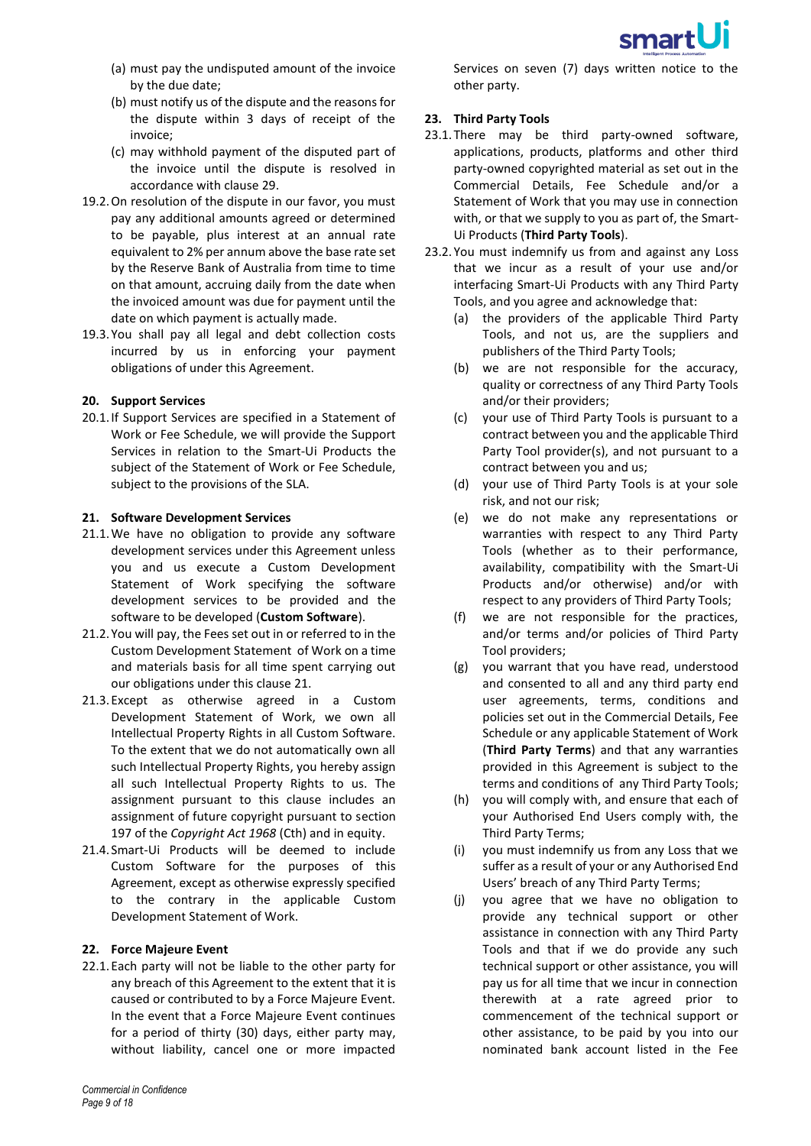

- (a) must pay the undisputed amount of the invoice by the due date;
- (b) must notify us of the dispute and the reasons for the dispute within 3 days of receipt of the invoice;
- (c) may withhold payment of the disputed part of the invoice until the dispute is resolved in accordance with claus[e 29.](#page-12-1)
- 19.2.On resolution of the dispute in our favor, you must pay any additional amounts agreed or determined to be payable, plus interest at an annual rate equivalent to 2% per annum above the base rate set by the Reserve Bank of Australia from time to time on that amount, accruing daily from the date when the invoiced amount was due for payment until the date on which payment is actually made.
- 19.3. You shall pay all legal and debt collection costs incurred by us in enforcing your payment obligations of under this Agreement.

#### **20. Support Services**

20.1.If Support Services are specified in a Statement of Work or Fee Schedule, we will provide the Support Services in relation to the Smart-Ui Products the subject of the Statement of Work or Fee Schedule, subject to the provisions of the SLA.

#### <span id="page-8-0"></span>**21. Software Development Services**

- <span id="page-8-1"></span>21.1.We have no obligation to provide any software development services under this Agreement unless you and us execute a Custom Development Statement of Work specifying the software development services to be provided and the software to be developed (**Custom Software**).
- 21.2. You will pay, the Fees set out in or referred to in the Custom Development Statement of Work on a time and materials basis for all time spent carrying out our obligations under this clause [21.](#page-8-0)
- 21.3.Except as otherwise agreed in a Custom Development Statement of Work, we own all Intellectual Property Rights in all Custom Software. To the extent that we do not automatically own all such Intellectual Property Rights, you hereby assign all such Intellectual Property Rights to us. The assignment pursuant to this clause includes an assignment of future copyright pursuant to section 197 of the *Copyright Act 1968* (Cth) and in equity.
- 21.4. Smart-Ui Products will be deemed to include Custom Software for the purposes of this Agreement, except as otherwise expressly specified to the contrary in the applicable Custom Development Statement of Work.

#### **22. Force Majeure Event**

22.1.Each party will not be liable to the other party for any breach of this Agreement to the extent that it is caused or contributed to by a Force Majeure Event. In the event that a Force Majeure Event continues for a period of thirty (30) days, either party may, without liability, cancel one or more impacted

Services on seven (7) days written notice to the other party.

# **23. Third Party Tools**

- 23.1.There may be third party-owned software, applications, products, platforms and other third party-owned copyrighted material as set out in the Commercial Details, Fee Schedule and/or a Statement of Work that you may use in connection with, or that we supply to you as part of, the Smart-Ui Products (**Third Party Tools**).
- 23.2.You must indemnify us from and against any Loss that we incur as a result of your use and/or interfacing Smart-Ui Products with any Third Party Tools, and you agree and acknowledge that:
	- (a) the providers of the applicable Third Party Tools, and not us, are the suppliers and publishers of the Third Party Tools;
	- (b) we are not responsible for the accuracy, quality or correctness of any Third Party Tools and/or their providers;
	- (c) your use of Third Party Tools is pursuant to a contract between you and the applicable Third Party Tool provider(s), and not pursuant to a contract between you and us;
	- (d) your use of Third Party Tools is at your sole risk, and not our risk;
	- (e) we do not make any representations or warranties with respect to any Third Party Tools (whether as to their performance, availability, compatibility with the Smart-Ui Products and/or otherwise) and/or with respect to any providers of Third Party Tools;
	- (f) we are not responsible for the practices, and/or terms and/or policies of Third Party Tool providers;
	- (g) you warrant that you have read, understood and consented to all and any third party end user agreements, terms, conditions and policies set out in the Commercial Details, Fee Schedule or any applicable Statement of Work (**Third Party Terms**) and that any warranties provided in this Agreement is subject to the terms and conditions of any Third Party Tools;
	- (h) you will comply with, and ensure that each of your Authorised End Users comply with, the Third Party Terms;
	- (i) you must indemnify us from any Loss that we suffer as a result of your or any Authorised End Users' breach of any Third Party Terms;
	- (j) you agree that we have no obligation to provide any technical support or other assistance in connection with any Third Party Tools and that if we do provide any such technical support or other assistance, you will pay us for all time that we incur in connection therewith at a rate agreed prior to commencement of the technical support or other assistance, to be paid by you into our nominated bank account listed in the Fee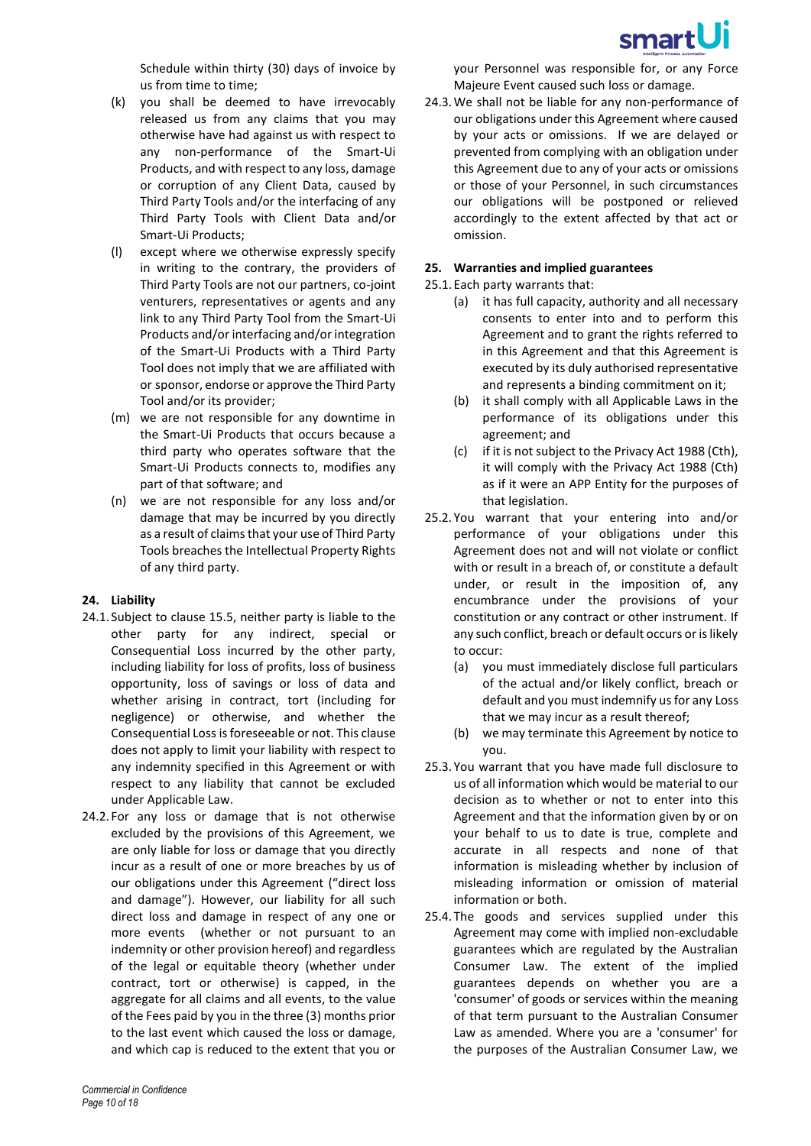

Schedule within thirty (30) days of invoice by us from time to time;

- (k) you shall be deemed to have irrevocably released us from any claims that you may otherwise have had against us with respect to any non-performance of the Smart-Ui Products, and with respect to any loss, damage or corruption of any Client Data, caused by Third Party Tools and/or the interfacing of any Third Party Tools with Client Data and/or Smart-Ui Products;
- (l) except where we otherwise expressly specify in writing to the contrary, the providers of Third Party Tools are not our partners, co-joint venturers, representatives or agents and any link to any Third Party Tool from the Smart-Ui Products and/or interfacing and/or integration of the Smart-Ui Products with a Third Party Tool does not imply that we are affiliated with or sponsor, endorse or approve the Third Party Tool and/or its provider;
- (m) we are not responsible for any downtime in the Smart-Ui Products that occurs because a third party who operates software that the Smart-Ui Products connects to, modifies any part of that software; and
- (n) we are not responsible for any loss and/or damage that may be incurred by you directly as a result of claims that your use of Third Party Tools breaches the Intellectual Property Rights of any third party.

# **24. Liability**

- 24.1. Subject to clause [15.5,](#page-6-0) neither party is liable to the other party for any indirect, special or Consequential Loss incurred by the other party, including liability for loss of profits, loss of business opportunity, loss of savings or loss of data and whether arising in contract, tort (including for negligence) or otherwise, and whether the Consequential Lossis foreseeable or not. This clause does not apply to limit your liability with respect to any indemnity specified in this Agreement or with respect to any liability that cannot be excluded under Applicable Law.
- 24.2. For any loss or damage that is not otherwise excluded by the provisions of this Agreement, we are only liable for loss or damage that you directly incur as a result of one or more breaches by us of our obligations under this Agreement ("direct loss and damage"). However, our liability for all such direct loss and damage in respect of any one or more events (whether or not pursuant to an indemnity or other provision hereof) and regardless of the legal or equitable theory (whether under contract, tort or otherwise) is capped, in the aggregate for all claims and all events, to the value of the Fees paid by you in the three (3) months prior to the last event which caused the loss or damage, and which cap is reduced to the extent that you or

your Personnel was responsible for, or any Force Majeure Event caused such loss or damage.

24.3.We shall not be liable for any non-performance of our obligations under this Agreement where caused by your acts or omissions. If we are delayed or prevented from complying with an obligation under this Agreement due to any of your acts or omissions or those of your Personnel, in such circumstances our obligations will be postponed or relieved accordingly to the extent affected by that act or omission.

# **25. Warranties and implied guarantees**

- 25.1.Each party warrants that:
	- (a) it has full capacity, authority and all necessary consents to enter into and to perform this Agreement and to grant the rights referred to in this Agreement and that this Agreement is executed by its duly authorised representative and represents a binding commitment on it;
	- (b) it shall comply with all Applicable Laws in the performance of its obligations under this agreement; and
	- (c) if it is not subject to the Privacy Act 1988 (Cth), it will comply with the Privacy Act 1988 (Cth) as if it were an APP Entity for the purposes of that legislation.
- 25.2.You warrant that your entering into and/or performance of your obligations under this Agreement does not and will not violate or conflict with or result in a breach of, or constitute a default under, or result in the imposition of, any encumbrance under the provisions of your constitution or any contract or other instrument. If any such conflict, breach or default occurs or is likely to occur:
	- (a) you must immediately disclose full particulars of the actual and/or likely conflict, breach or default and you must indemnify us for any Loss that we may incur as a result thereof;
	- (b) we may terminate this Agreement by notice to you.
- 25.3.You warrant that you have made full disclosure to us of all information which would be material to our decision as to whether or not to enter into this Agreement and that the information given by or on your behalf to us to date is true, complete and accurate in all respects and none of that information is misleading whether by inclusion of misleading information or omission of material information or both.
- 25.4.The goods and services supplied under this Agreement may come with implied non-excludable guarantees which are regulated by the Australian Consumer Law. The extent of the implied guarantees depends on whether you are a 'consumer' of goods or services within the meaning of that term pursuant to the Australian Consumer Law as amended. Where you are a 'consumer' for the purposes of the Australian Consumer Law, we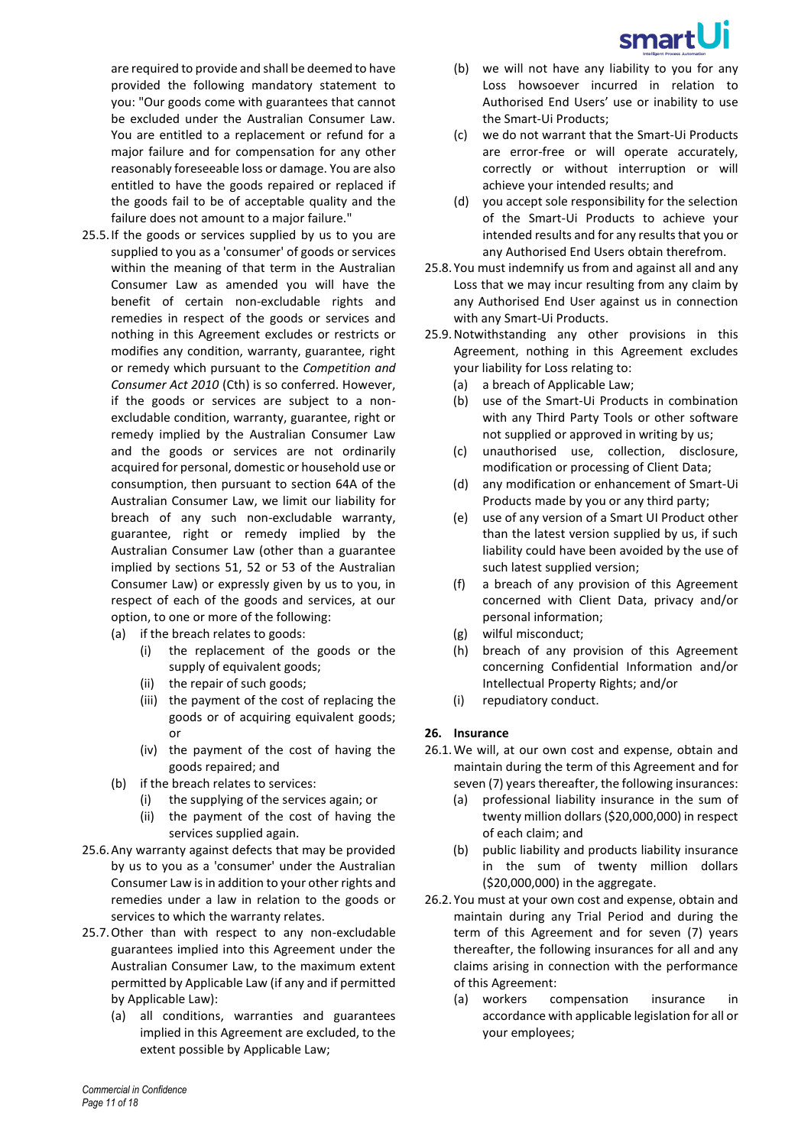

are required to provide and shall be deemed to have provided the following mandatory statement to you: "Our goods come with guarantees that cannot be excluded under the Australian Consumer Law. You are entitled to a replacement or refund for a major failure and for compensation for any other reasonably foreseeable loss or damage. You are also entitled to have the goods repaired or replaced if the goods fail to be of acceptable quality and the failure does not amount to a major failure."

- 25.5.If the goods or services supplied by us to you are supplied to you as a 'consumer' of goods or services within the meaning of that term in the Australian Consumer Law as amended you will have the benefit of certain non-excludable rights and remedies in respect of the goods or services and nothing in this Agreement excludes or restricts or modifies any condition, warranty, guarantee, right or remedy which pursuant to the *Competition and Consumer Act 2010* (Cth) is so conferred. However, if the goods or services are subject to a nonexcludable condition, warranty, guarantee, right or remedy implied by the Australian Consumer Law and the goods or services are not ordinarily acquired for personal, domestic or household use or consumption, then pursuant to section 64A of the Australian Consumer Law, we limit our liability for breach of any such non-excludable warranty, guarantee, right or remedy implied by the Australian Consumer Law (other than a guarantee implied by sections 51, 52 or 53 of the Australian Consumer Law) or expressly given by us to you, in respect of each of the goods and services, at our option, to one or more of the following:
	- (a) if the breach relates to goods:
		- (i) the replacement of the goods or the supply of equivalent goods;
		- (ii) the repair of such goods;
		- (iii) the payment of the cost of replacing the goods or of acquiring equivalent goods; or
		- (iv) the payment of the cost of having the goods repaired; and
	- (b) if the breach relates to services:
		- (i) the supplying of the services again; or
		- (ii) the payment of the cost of having the services supplied again.
- 25.6.Any warranty against defects that may be provided by us to you as a 'consumer' under the Australian Consumer Law is in addition to your other rights and remedies under a law in relation to the goods or services to which the warranty relates.
- 25.7.Other than with respect to any non-excludable guarantees implied into this Agreement under the Australian Consumer Law, to the maximum extent permitted by Applicable Law (if any and if permitted by Applicable Law):
	- (a) all conditions, warranties and guarantees implied in this Agreement are excluded, to the extent possible by Applicable Law;
- (b) we will not have any liability to you for any Loss howsoever incurred in relation to Authorised End Users' use or inability to use the Smart-Ui Products;
- (c) we do not warrant that the Smart-Ui Products are error-free or will operate accurately, correctly or without interruption or will achieve your intended results; and
- (d) you accept sole responsibility for the selection of the Smart-Ui Products to achieve your intended results and for any results that you or any Authorised End Users obtain therefrom.
- 25.8.You must indemnify us from and against all and any Loss that we may incur resulting from any claim by any Authorised End User against us in connection with any Smart-Ui Products.
- 25.9.Notwithstanding any other provisions in this Agreement, nothing in this Agreement excludes your liability for Loss relating to:
	- (a) a breach of Applicable Law;
	- (b) use of the Smart-Ui Products in combination with any Third Party Tools or other software not supplied or approved in writing by us;
	- (c) unauthorised use, collection, disclosure, modification or processing of Client Data;
	- (d) any modification or enhancement of Smart-Ui Products made by you or any third party;
	- (e) use of any version of a Smart UI Product other than the latest version supplied by us, if such liability could have been avoided by the use of such latest supplied version;
	- (f) a breach of any provision of this Agreement concerned with Client Data, privacy and/or personal information;
	- (g) wilful misconduct;
	- (h) breach of any provision of this Agreement concerning Confidential Information and/or Intellectual Property Rights; and/or
	- (i) repudiatory conduct.

#### **26. Insurance**

- 26.1.We will, at our own cost and expense, obtain and maintain during the term of this Agreement and for seven (7) years thereafter, the following insurances:
	- (a) professional liability insurance in the sum of twenty million dollars (\$20,000,000) in respect of each claim; and
	- (b) public liability and products liability insurance in the sum of twenty million dollars (\$20,000,000) in the aggregate.
- <span id="page-10-0"></span>26.2.You must at your own cost and expense, obtain and maintain during any Trial Period and during the term of this Agreement and for seven (7) years thereafter, the following insurances for all and any claims arising in connection with the performance of this Agreement:
	- (a) workers compensation insurance in accordance with applicable legislation for all or your employees;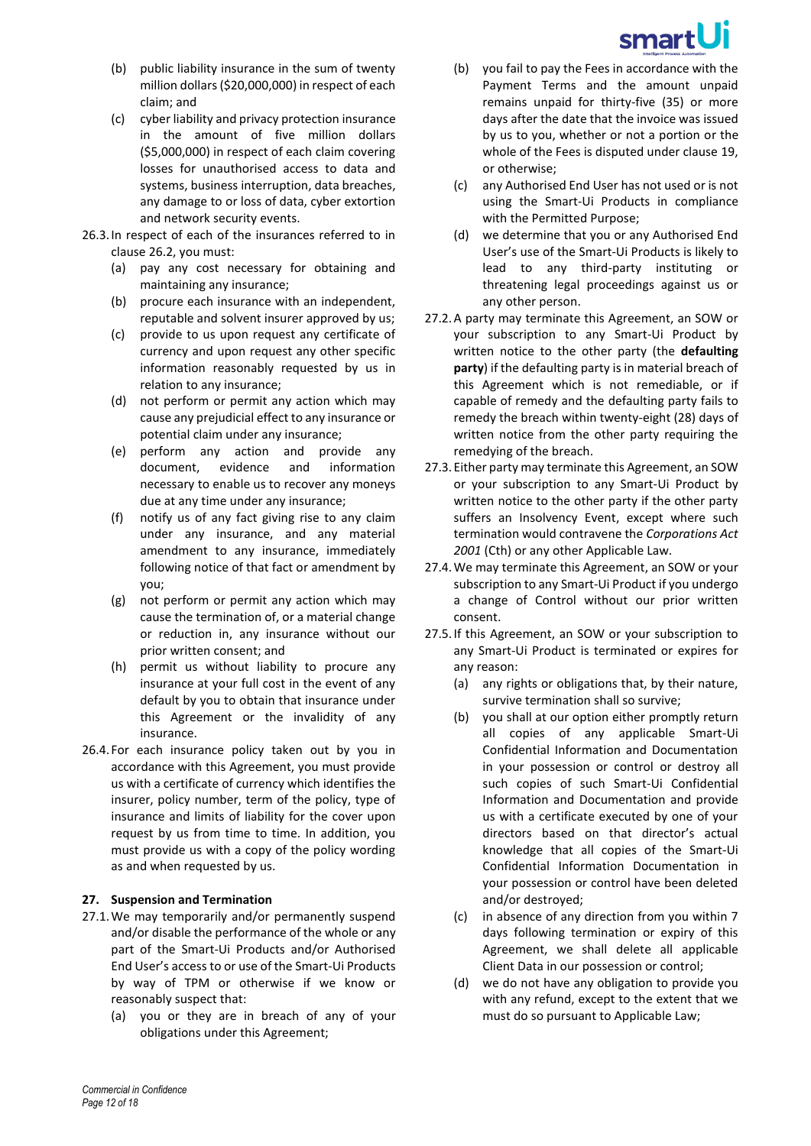

- (b) public liability insurance in the sum of twenty million dollars (\$20,000,000) in respect of each claim; and
- (c) cyber liability and privacy protection insurance in the amount of five million dollars (\$5,000,000) in respect of each claim covering losses for unauthorised access to data and systems, business interruption, data breaches, any damage to or loss of data, cyber extortion and network security events.
- 26.3.In respect of each of the insurances referred to in claus[e 26.2,](#page-10-0) you must:
	- (a) pay any cost necessary for obtaining and maintaining any insurance;
	- (b) procure each insurance with an independent, reputable and solvent insurer approved by us;
	- (c) provide to us upon request any certificate of currency and upon request any other specific information reasonably requested by us in relation to any insurance;
	- (d) not perform or permit any action which may cause any prejudicial effect to any insurance or potential claim under any insurance;
	- (e) perform any action and provide any document, evidence and information necessary to enable us to recover any moneys due at any time under any insurance;
	- (f) notify us of any fact giving rise to any claim under any insurance, and any material amendment to any insurance, immediately following notice of that fact or amendment by you;
	- (g) not perform or permit any action which may cause the termination of, or a material change or reduction in, any insurance without our prior written consent; and
	- (h) permit us without liability to procure any insurance at your full cost in the event of any default by you to obtain that insurance under this Agreement or the invalidity of any insurance.
- 26.4. For each insurance policy taken out by you in accordance with this Agreement, you must provide us with a certificate of currency which identifies the insurer, policy number, term of the policy, type of insurance and limits of liability for the cover upon request by us from time to time. In addition, you must provide us with a copy of the policy wording as and when requested by us.

# **27. Suspension and Termination**

- 27.1.We may temporarily and/or permanently suspend and/or disable the performance of the whole or any part of the Smart-Ui Products and/or Authorised End User's access to or use of the Smart-Ui Products by way of TPM or otherwise if we know or reasonably suspect that:
	- (a) you or they are in breach of any of your obligations under this Agreement;
- (b) you fail to pay the Fees in accordance with the Payment Terms and the amount unpaid remains unpaid for thirty-five (35) or more days after the date that the invoice was issued by us to you, whether or not a portion or the whole of the Fees is disputed under claus[e 19,](#page-7-0) or otherwise;
- (c) any Authorised End User has not used or is not using the Smart-Ui Products in compliance with the Permitted Purpose;
- (d) we determine that you or any Authorised End User's use of the Smart-Ui Products is likely to lead to any third-party instituting or threatening legal proceedings against us or any other person.
- 27.2.A party may terminate this Agreement, an SOW or your subscription to any Smart-Ui Product by written notice to the other party (the **defaulting party**) if the defaulting party is in material breach of this Agreement which is not remediable, or if capable of remedy and the defaulting party fails to remedy the breach within twenty-eight (28) days of written notice from the other party requiring the remedying of the breach.
- 27.3.Either party may terminate this Agreement, an SOW or your subscription to any Smart-Ui Product by written notice to the other party if the other party suffers an Insolvency Event, except where such termination would contravene the *Corporations Act 2001* (Cth) or any other Applicable Law.
- 27.4.We may terminate this Agreement, an SOW or your subscription to any Smart-Ui Product if you undergo a change of Control without our prior written consent.
- 27.5.If this Agreement, an SOW or your subscription to any Smart-Ui Product is terminated or expires for any reason:
	- (a) any rights or obligations that, by their nature, survive termination shall so survive;
	- (b) you shall at our option either promptly return all copies of any applicable Smart-Ui Confidential Information and Documentation in your possession or control or destroy all such copies of such Smart-Ui Confidential Information and Documentation and provide us with a certificate executed by one of your directors based on that director's actual knowledge that all copies of the Smart-Ui Confidential Information Documentation in your possession or control have been deleted and/or destroyed;
	- (c) in absence of any direction from you within 7 days following termination or expiry of this Agreement, we shall delete all applicable Client Data in our possession or control;
	- (d) we do not have any obligation to provide you with any refund, except to the extent that we must do so pursuant to Applicable Law;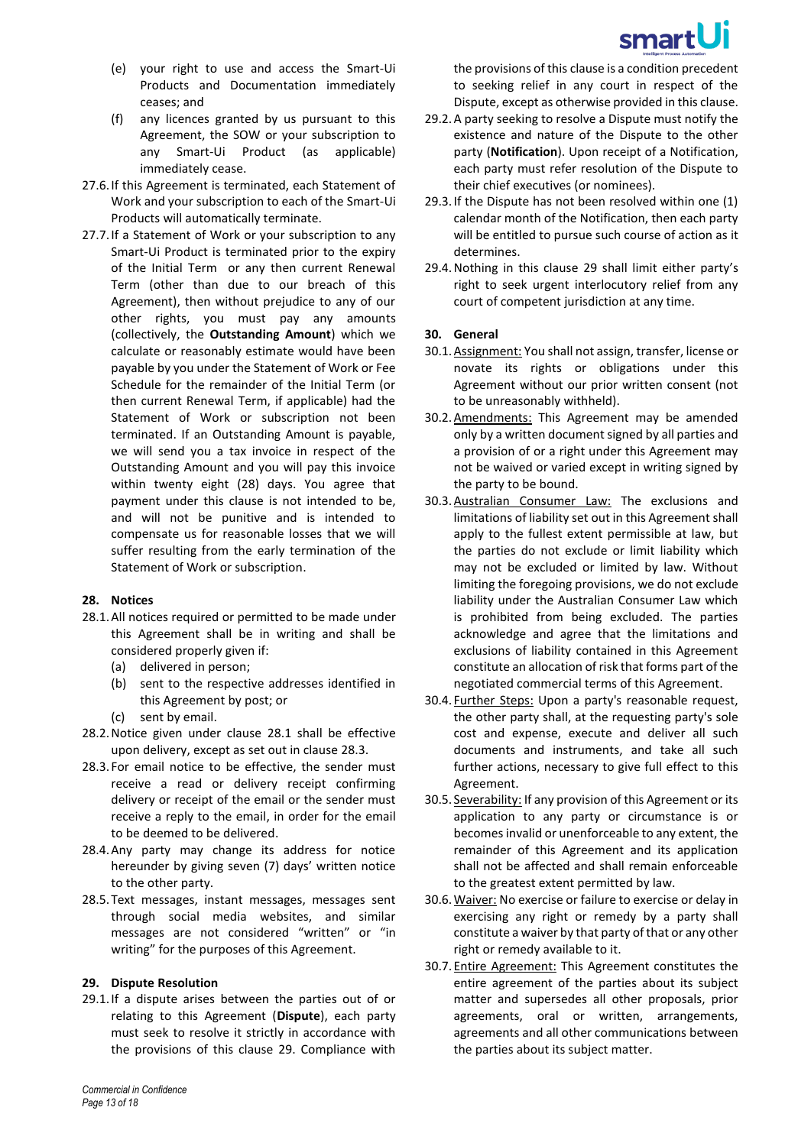

- (e) your right to use and access the Smart-Ui Products and Documentation immediately ceases; and
- (f) any licences granted by us pursuant to this Agreement, the SOW or your subscription to any Smart-Ui Product (as applicable) immediately cease.
- 27.6.If this Agreement is terminated, each Statement of Work and your subscription to each of the Smart-Ui Products will automatically terminate.
- 27.7.If a Statement of Work or your subscription to any Smart-Ui Product is terminated prior to the expiry of the Initial Term or any then current Renewal Term (other than due to our breach of this Agreement), then without prejudice to any of our other rights, you must pay any amounts (collectively, the **Outstanding Amount**) which we calculate or reasonably estimate would have been payable by you under the Statement of Work or Fee Schedule for the remainder of the Initial Term (or then current Renewal Term, if applicable) had the Statement of Work or subscription not been terminated. If an Outstanding Amount is payable, we will send you a tax invoice in respect of the Outstanding Amount and you will pay this invoice within twenty eight (28) days. You agree that payment under this clause is not intended to be, and will not be punitive and is intended to compensate us for reasonable losses that we will suffer resulting from the early termination of the Statement of Work or subscription.

#### <span id="page-12-0"></span>**28. Notices**

- <span id="page-12-2"></span>28.1.All notices required or permitted to be made under this Agreement shall be in writing and shall be considered properly given if:
	- (a) delivered in person;
	- (b) sent to the respective addresses identified in this Agreement by post; or
	- (c) sent by email.
- 28.2.Notice given under clause [28.1](#page-12-2) shall be effective upon delivery, except as set out in claus[e 28.3.](#page-12-3)
- <span id="page-12-3"></span>28.3. For email notice to be effective, the sender must receive a read or delivery receipt confirming delivery or receipt of the email or the sender must receive a reply to the email, in order for the email to be deemed to be delivered.
- 28.4.Any party may change its address for notice hereunder by giving seven (7) days' written notice to the other party.
- 28.5. Text messages, instant messages, messages sent through social media websites, and similar messages are not considered "written" or "in writing" for the purposes of this Agreement.

#### <span id="page-12-1"></span>**29. Dispute Resolution**

29.1.If a dispute arises between the parties out of or relating to this Agreement (**Dispute**), each party must seek to resolve it strictly in accordance with the provisions of this clause [29.](#page-12-1) Compliance with

the provisions of this clause is a condition precedent to seeking relief in any court in respect of the Dispute, except as otherwise provided in this clause.

- 29.2.A party seeking to resolve a Dispute must notify the existence and nature of the Dispute to the other party (**Notification**). Upon receipt of a Notification, each party must refer resolution of the Dispute to their chief executives (or nominees).
- 29.3.If the Dispute has not been resolved within one (1) calendar month of the Notification, then each party will be entitled to pursue such course of action as it determines.
- 29.4.Nothing in this clause [29](#page-12-1) shall limit either party's right to seek urgent interlocutory relief from any court of competent jurisdiction at any time.

# **30. General**

- 30.1.Assignment: You shall not assign, transfer, license or novate its rights or obligations under this Agreement without our prior written consent (not to be unreasonably withheld).
- 30.2.Amendments: This Agreement may be amended only by a written document signed by all parties and a provision of or a right under this Agreement may not be waived or varied except in writing signed by the party to be bound.
- 30.3.Australian Consumer Law: The exclusions and limitations of liability set out in this Agreement shall apply to the fullest extent permissible at law, but the parties do not exclude or limit liability which may not be excluded or limited by law. Without limiting the foregoing provisions, we do not exclude liability under the Australian Consumer Law which is prohibited from being excluded. The parties acknowledge and agree that the limitations and exclusions of liability contained in this Agreement constitute an allocation of risk that forms part of the negotiated commercial terms of this Agreement.
- 30.4. Further Steps: Upon a party's reasonable request, the other party shall, at the requesting party's sole cost and expense, execute and deliver all such documents and instruments, and take all such further actions, necessary to give full effect to this Agreement.
- 30.5. Severability: If any provision of this Agreement or its application to any party or circumstance is or becomes invalid or unenforceable to any extent, the remainder of this Agreement and its application shall not be affected and shall remain enforceable to the greatest extent permitted by law.
- 30.6.Waiver: No exercise or failure to exercise or delay in exercising any right or remedy by a party shall constitute a waiver by that party of that or any other right or remedy available to it.
- 30.7.Entire Agreement: This Agreement constitutes the entire agreement of the parties about its subject matter and supersedes all other proposals, prior agreements, oral or written, arrangements, agreements and all other communications between the parties about its subject matter.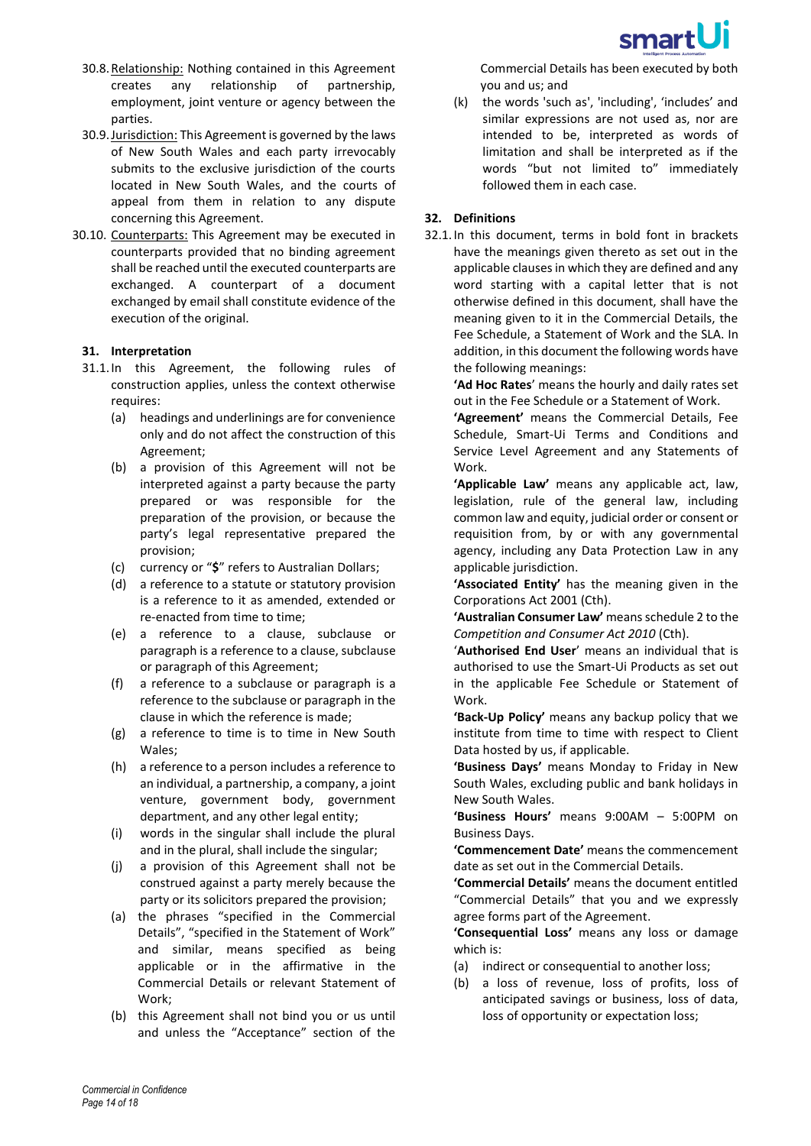

- 30.8.Relationship: Nothing contained in this Agreement creates any relationship of partnership, employment, joint venture or agency between the parties.
- 30.9.Jurisdiction: This Agreement is governed by the laws of New South Wales and each party irrevocably submits to the exclusive jurisdiction of the courts located in New South Wales, and the courts of appeal from them in relation to any dispute concerning this Agreement.
- 30.10. Counterparts: This Agreement may be executed in counterparts provided that no binding agreement shall be reached until the executed counterparts are exchanged. A counterpart of a document exchanged by email shall constitute evidence of the execution of the original.

#### **31. Interpretation**

- 31.1.In this Agreement, the following rules of construction applies, unless the context otherwise requires:
	- (a) headings and underlinings are for convenience only and do not affect the construction of this Agreement;
	- (b) a provision of this Agreement will not be interpreted against a party because the party prepared or was responsible for the preparation of the provision, or because the party's legal representative prepared the provision;
	- (c) currency or "**\$**" refers to Australian Dollars;
	- (d) a reference to a statute or statutory provision is a reference to it as amended, extended or re-enacted from time to time;
	- (e) a reference to a clause, subclause or paragraph is a reference to a clause, subclause or paragraph of this Agreement;
	- (f) a reference to a subclause or paragraph is a reference to the subclause or paragraph in the clause in which the reference is made;
	- (g) a reference to time is to time in New South Wales;
	- (h) a reference to a person includes a reference to an individual, a partnership, a company, a joint venture, government body, government department, and any other legal entity;
	- (i) words in the singular shall include the plural and in the plural, shall include the singular;
	- (j) a provision of this Agreement shall not be construed against a party merely because the party or its solicitors prepared the provision;
	- (a) the phrases "specified in the Commercial Details", "specified in the Statement of Work" and similar, means specified as being applicable or in the affirmative in the Commercial Details or relevant Statement of Work;
	- (b) this Agreement shall not bind you or us until and unless the "Acceptance" section of the

Commercial Details has been executed by both you and us; and

(k) the words 'such as', 'including', 'includes' and similar expressions are not used as, nor are intended to be, interpreted as words of limitation and shall be interpreted as if the words "but not limited to" immediately followed them in each case.

# **32. Definitions**

32.1.In this document, terms in bold font in brackets have the meanings given thereto as set out in the applicable clauses in which they are defined and any word starting with a capital letter that is not otherwise defined in this document, shall have the meaning given to it in the Commercial Details, the Fee Schedule, a Statement of Work and the SLA. In addition, in this document the following words have the following meanings:

**'Ad Hoc Rates**' means the hourly and daily rates set out in the Fee Schedule or a Statement of Work.

**'Agreement'** means the Commercial Details, Fee Schedule, Smart-Ui Terms and Conditions and Service Level Agreement and any Statements of Work.

**'Applicable Law'** means any applicable act, law, legislation, rule of the general law, including common law and equity, judicial order or consent or requisition from, by or with any governmental agency, including any Data Protection Law in any applicable jurisdiction.

**'Associated Entity'** has the meaning given in the Corporations Act 2001 (Cth).

**'Australian Consumer Law'** means schedule 2 to the *Competition and Consumer Act 2010* (Cth).

'**Authorised End User**' means an individual that is authorised to use the Smart-Ui Products as set out in the applicable Fee Schedule or Statement of Work.

**'Back-Up Policy'** means any backup policy that we institute from time to time with respect to Client Data hosted by us, if applicable.

**'Business Days'** means Monday to Friday in New South Wales, excluding public and bank holidays in New South Wales.

**'Business Hours'** means 9:00AM – 5:00PM on Business Days.

**'Commencement Date'** means the commencement date as set out in the Commercial Details.

**'Commercial Details'** means the document entitled "Commercial Details" that you and we expressly agree forms part of the Agreement.

**'Consequential Loss'** means any loss or damage which is:

- (a) indirect or consequential to another loss;
- (b) a loss of revenue, loss of profits, loss of anticipated savings or business, loss of data, loss of opportunity or expectation loss;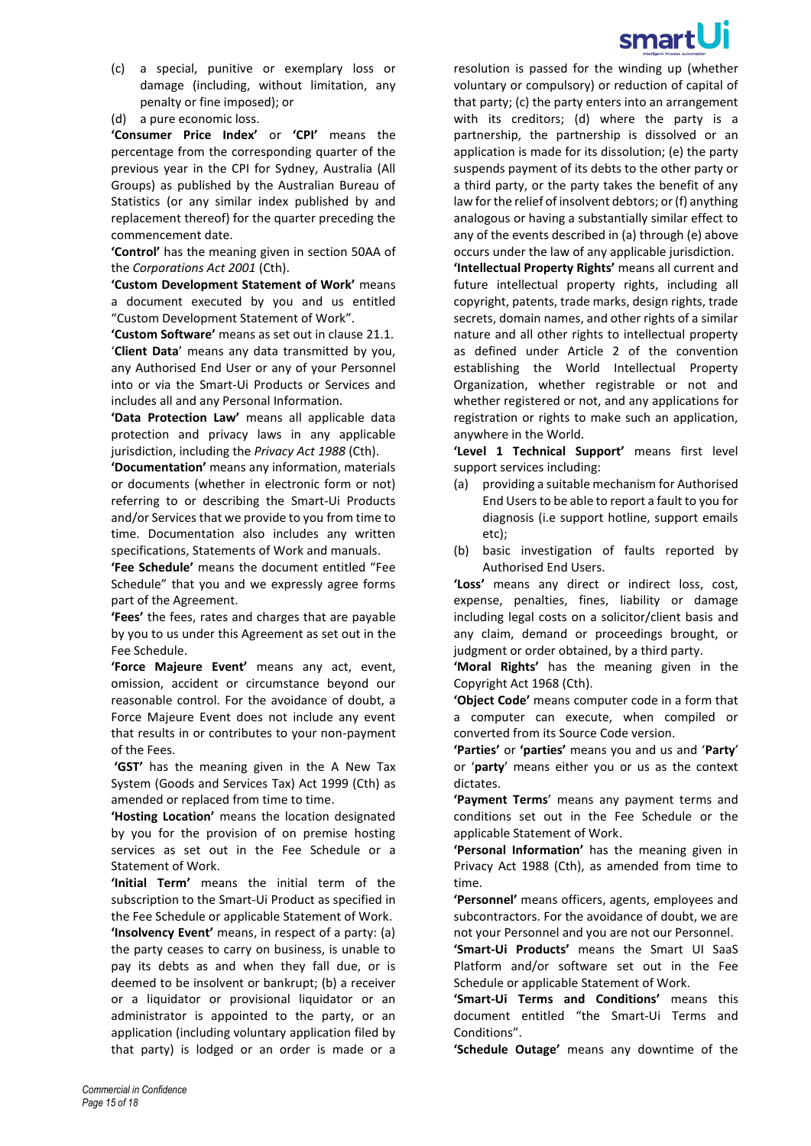

- (c) a special, punitive or exemplary loss or damage (including, without limitation, any penalty or fine imposed); or
- (d) a pure economic loss.

**'Consumer Price Index'** or **'CPI'** means the percentage from the corresponding quarter of the previous year in the CPI for Sydney, Australia (All Groups) as published by the Australian Bureau of Statistics (or any similar index published by and replacement thereof) for the quarter preceding the commencement date.

**'Control'** has the meaning given in section 50AA of the *Corporations Act 2001* (Cth).

**'Custom Development Statement of Work'** means a document executed by you and us entitled "Custom Development Statement of Work".

**'Custom Software'** means as set out in clause [21.1.](#page-8-1) '**Client Data**' means any data transmitted by you, any Authorised End User or any of your Personnel into or via the Smart-Ui Products or Services and includes all and any Personal Information.

**'Data Protection Law'** means all applicable data protection and privacy laws in any applicable jurisdiction, including the *Privacy Act 1988* (Cth).

**'Documentation'** means any information, materials or documents (whether in electronic form or not) referring to or describing the Smart-Ui Products and/or Services that we provide to you from time to time. Documentation also includes any written specifications, Statements of Work and manuals.

**'Fee Schedule'** means the document entitled "Fee Schedule" that you and we expressly agree forms part of the Agreement.

**'Fees'** the fees, rates and charges that are payable by you to us under this Agreement as set out in the Fee Schedule.

**'Force Majeure Event'** means any act, event, omission, accident or circumstance beyond our reasonable control. For the avoidance of doubt, a Force Majeure Event does not include any event that results in or contributes to your non-payment of the Fees.

**'GST'** has the meaning given in the A New Tax System (Goods and Services Tax) Act 1999 (Cth) as amended or replaced from time to time.

**'Hosting Location'** means the location designated by you for the provision of on premise hosting services as set out in the Fee Schedule or a Statement of Work.

**'Initial Term'** means the initial term of the subscription to the Smart-Ui Product as specified in the Fee Schedule or applicable Statement of Work.

**'Insolvency Event'** means, in respect of a party: (a) the party ceases to carry on business, is unable to pay its debts as and when they fall due, or is deemed to be insolvent or bankrupt; (b) a receiver or a liquidator or provisional liquidator or an administrator is appointed to the party, or an application (including voluntary application filed by that party) is lodged or an order is made or a

resolution is passed for the winding up (whether voluntary or compulsory) or reduction of capital of that party; (c) the party enters into an arrangement with its creditors; (d) where the party is a partnership, the partnership is dissolved or an application is made for its dissolution; (e) the party suspends payment of its debts to the other party or a third party, or the party takes the benefit of any law for the relief of insolvent debtors; or (f) anything analogous or having a substantially similar effect to any of the events described in (a) through (e) above occurs under the law of any applicable jurisdiction.

**'Intellectual Property Rights'** means all current and future intellectual property rights, including all copyright, patents, trade marks, design rights, trade secrets, domain names, and other rights of a similar nature and all other rights to intellectual property as defined under Article 2 of the convention establishing the World Intellectual Property Organization, whether registrable or not and whether registered or not, and any applications for registration or rights to make such an application, anywhere in the World.

**'Level 1 Technical Support'** means first level support services including:

- (a) providing a suitable mechanism for Authorised End Users to be able to report a fault to you for diagnosis (i.e support hotline, support emails etc);
- (b) basic investigation of faults reported by Authorised End Users.

**'Loss'** means any direct or indirect loss, cost, expense, penalties, fines, liability or damage including legal costs on a solicitor/client basis and any claim, demand or proceedings brought, or judgment or order obtained, by a third party.

**'Moral Rights'** has the meaning given in the Copyright Act 1968 (Cth).

**'Object Code'** means computer code in a form that a computer can execute, when compiled or converted from its Source Code version.

**'Parties'** or **'parties'** means you and us and '**Party**' or '**party**' means either you or us as the context dictates.

**'Payment Terms**' means any payment terms and conditions set out in the Fee Schedule or the applicable Statement of Work.

**'Personal Information'** has the meaning given in Privacy Act 1988 (Cth), as amended from time to time.

**'Personnel'** means officers, agents, employees and subcontractors. For the avoidance of doubt, we are not your Personnel and you are not our Personnel.

**'Smart-Ui Products'** means the Smart UI SaaS Platform and/or software set out in the Fee Schedule or applicable Statement of Work.

**'Smart-Ui Terms and Conditions'** means this document entitled "the Smart-Ui Terms and Conditions".

**'Schedule Outage'** means any downtime of the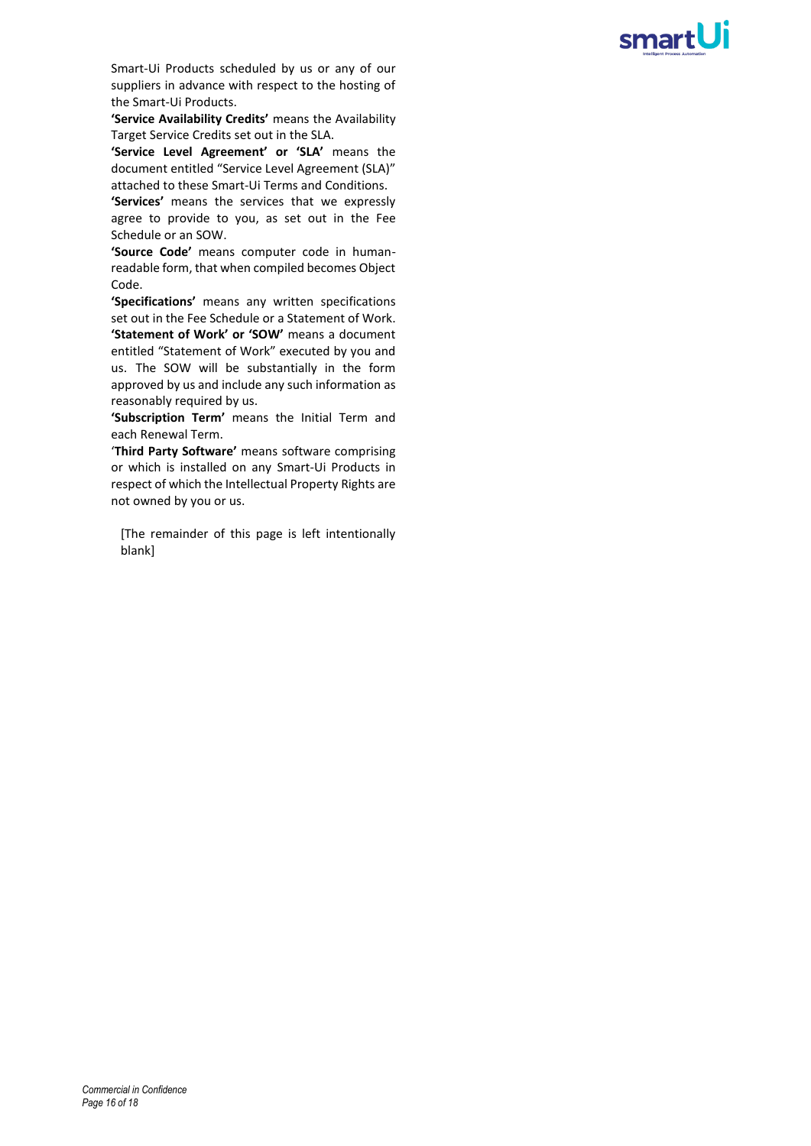# smartUi

Smart-Ui Products scheduled by us or any of our suppliers in advance with respect to the hosting of the Smart-Ui Products.

**'Service Availability Credits'** means the Availability Target Service Credits set out in the SLA.

**'Service Level Agreement' or 'SLA'** means the document entitled "Service Level Agreement (SLA)" attached to these Smart-Ui Terms and Conditions.

**'Services'** means the services that we expressly agree to provide to you, as set out in the Fee Schedule or an SOW.

**'Source Code'** means computer code in humanreadable form, that when compiled becomes Object Code.

**'Specifications'** means any written specifications set out in the Fee Schedule or a Statement of Work. **'Statement of Work' or 'SOW'** means a document entitled "Statement of Work" executed by you and us. The SOW will be substantially in the form approved by us and include any such information as reasonably required by us.

**'Subscription Term'** means the Initial Term and each Renewal Term.

'**Third Party Software'** means software comprising or which is installed on any Smart-Ui Products in respect of which the Intellectual Property Rights are not owned by you or us.

[The remainder of this page is left intentionally blank]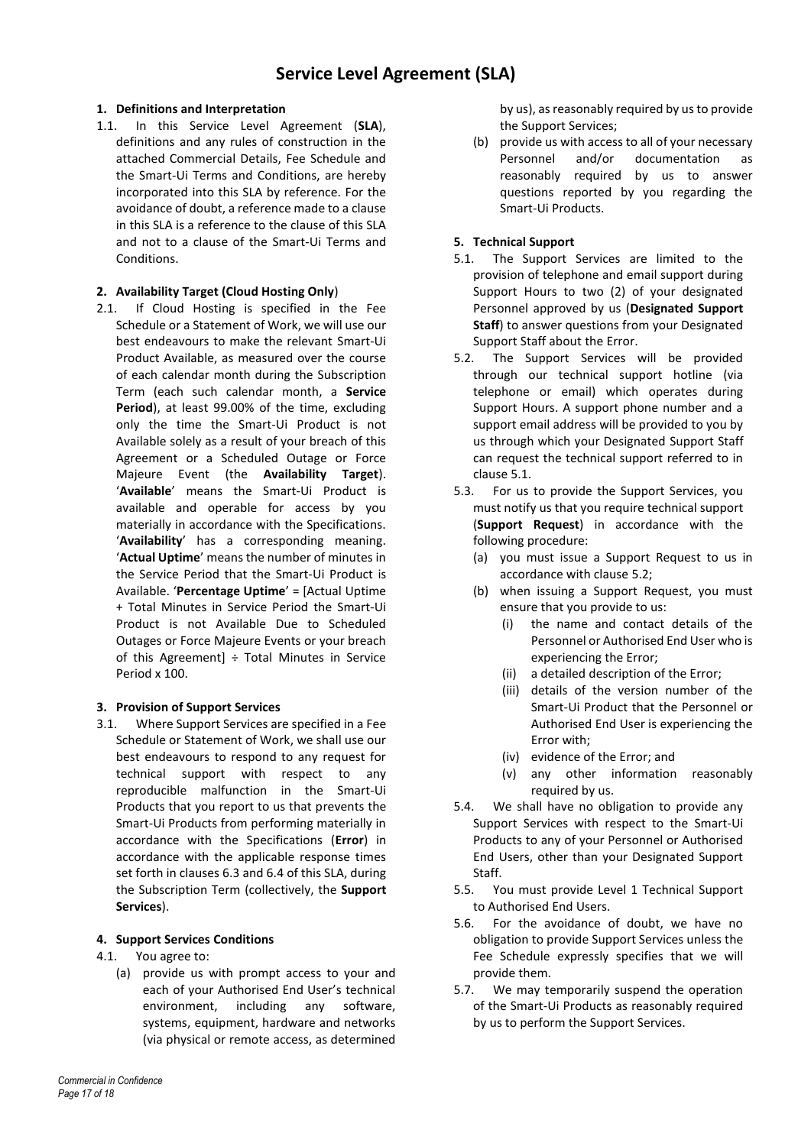### **1. Definitions and Interpretation**

1.1. In this Service Level Agreement (**SLA**), definitions and any rules of construction in the attached Commercial Details, Fee Schedule and the Smart-Ui Terms and Conditions, are hereby incorporated into this SLA by reference. For the avoidance of doubt, a reference made to a clause in this SLA is a reference to the clause of this SLA and not to a clause of the Smart-Ui Terms and Conditions.

#### **2. Availability Target (Cloud Hosting Only**)

2.1. If Cloud Hosting is specified in the Fee Schedule or a Statement of Work, we will use our best endeavours to make the relevant Smart-Ui Product Available, as measured over the course of each calendar month during the Subscription Term (each such calendar month, a **Service Period**), at least 99.00% of the time, excluding only the time the Smart-Ui Product is not Available solely as a result of your breach of this Agreement or a Scheduled Outage or Force Majeure Event (the **Availability Target**). '**Available**' means the Smart-Ui Product is available and operable for access by you materially in accordance with the Specifications. '**Availability**' has a corresponding meaning. '**Actual Uptime**' means the number of minutes in the Service Period that the Smart-Ui Product is Available. '**Percentage Uptime**' = [Actual Uptime + Total Minutes in Service Period the Smart-Ui Product is not Available Due to Scheduled Outages or Force Majeure Events or your breach of this Agreement]  $\div$  Total Minutes in Service Period x 100.

#### **3. Provision of Support Services**

3.1. Where Support Services are specified in a Fee Schedule or Statement of Work, we shall use our best endeavours to respond to any request for technical support with respect to any reproducible malfunction in the Smart-Ui Products that you report to us that prevents the Smart-Ui Products from performing materially in accordance with the Specifications (**Error**) in accordance with the applicable response times set forth in clause[s 6.3](#page-17-0) an[d 6.4](#page-17-1) of this SLA, during the Subscription Term (collectively, the **Support Services**).

#### **4. Support Services Conditions**

- 4.1. You agree to:
	- (a) provide us with prompt access to your and each of your Authorised End User's technical environment, including any software, systems, equipment, hardware and networks (via physical or remote access, as determined

by us), as reasonably required by us to provide the Support Services;

(b) provide us with access to all of your necessary Personnel and/or documentation as reasonably required by us to answer questions reported by you regarding the Smart-Ui Products.

#### **5. Technical Support**

- <span id="page-16-0"></span>5.1. The Support Services are limited to the provision of telephone and email support during Support Hours to two (2) of your designated Personnel approved by us (**Designated Support Staff**) to answer questions from your Designated Support Staff about the Error.
- <span id="page-16-1"></span>5.2. The Support Services will be provided through our technical support hotline (via telephone or email) which operates during Support Hours. A support phone number and a support email address will be provided to you by us through which your Designated Support Staff can request the technical support referred to in clause [5.1.](#page-16-0)
- 5.3. For us to provide the Support Services, you must notify us that you require technical support (**Support Request**) in accordance with the following procedure:
	- (a) you must issue a Support Request to us in accordance with clause [5.2;](#page-16-1)
	- (b) when issuing a Support Request, you must ensure that you provide to us:
		- (i) the name and contact details of the Personnel or Authorised End User who is experiencing the Error;
		- (ii) a detailed description of the Error;
		- (iii) details of the version number of the Smart-Ui Product that the Personnel or Authorised End User is experiencing the Error with;
		- (iv) evidence of the Error; and
		- (v) any other information reasonably required by us.
- 5.4. We shall have no obligation to provide any Support Services with respect to the Smart-Ui Products to any of your Personnel or Authorised End Users, other than your Designated Support Staff.
- 5.5. You must provide Level 1 Technical Support to Authorised End Users.
- 5.6. For the avoidance of doubt, we have no obligation to provide Support Services unless the Fee Schedule expressly specifies that we will provide them.
- 5.7. We may temporarily suspend the operation of the Smart-Ui Products as reasonably required by us to perform the Support Services.